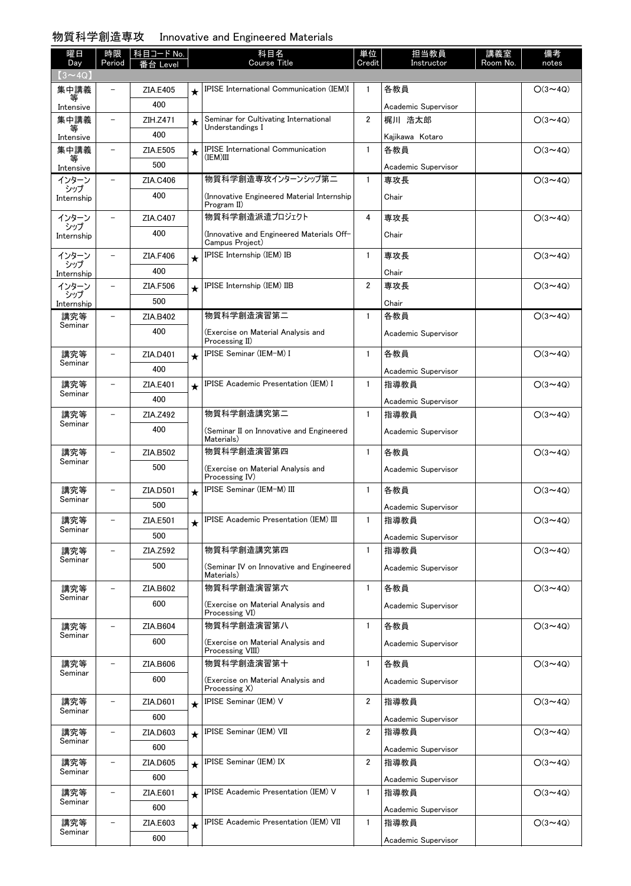### 物質科学創造専攻 Innovative and Engineered Materials

| 曜日                | 時限                       | │ 科目コード No. |         | 科目名<br><b>Course Title</b>                                   | 単位                      | 担当教員                | 講義室      | 備考             |
|-------------------|--------------------------|-------------|---------|--------------------------------------------------------------|-------------------------|---------------------|----------|----------------|
| Day<br>$(3 - 4Q)$ | Period                   | 台 Level     |         |                                                              | Credit                  | Instructor          | Room No. | notes          |
| 集中講義              | $\overline{a}$           | ZIA.E405    | $\star$ | <b>IPISE International Communication (IEM)I</b>              | $\mathbf{1}$            | 各教員                 |          | $O(3 \sim 4Q)$ |
| 等<br>Intensive    |                          | 400         |         |                                                              |                         | Academic Supervisor |          |                |
| 集中講義              | $\overline{\phantom{0}}$ | ZIH.Z471    | $\star$ | Seminar for Cultivating International                        | $\overline{2}$          | 梶川 浩太郎              |          | $O(3 \sim 4Q)$ |
| 等<br>Intensive    |                          | 400         |         | Understandings I                                             |                         | Kajikawa Kotaro     |          |                |
| 集中講義              | -                        | ZIA.E505    | $\star$ | <b>IPISE International Communication</b>                     | $\mathbf{1}$            | 各教員                 |          | $O(3 \sim 4Q)$ |
| Intensive         |                          | 500         |         | (IEM)III                                                     |                         | Academic Supervisor |          |                |
| インターン             |                          | ZIA.C406    |         | 物質科学創造専攻インターンシップ第二                                           | $\mathbf{1}$            | 専攻長                 |          | $O(3 \sim 4Q)$ |
| シップ<br>Internship |                          | 400         |         | Innovative Engineered Material Internship)<br>Program II)    |                         | Chair               |          |                |
| インターン             |                          | ZIA.C407    |         | 物質科学創造派遣プロジェクト                                               | 4                       | 専攻長                 |          | $O(3 \sim 4Q)$ |
| シップ<br>Internship |                          | 400         |         | (Innovative and Engineered Materials Off-<br>Campus Project) |                         | Chair               |          |                |
| インターン             |                          | ZIA.F406    | $\star$ | IPISE Internship (IEM) IB                                    | $\mathbf{1}$            | 専攻長                 |          | $O(3 \sim 4Q)$ |
| シップ<br>Internship |                          | 400         |         |                                                              |                         | Chair               |          |                |
| インターン             |                          | ZIA.F506    |         | IPISE Internship (IEM) IIB                                   | 2                       | 専攻長                 |          | $O(3 \sim 4Q)$ |
| シップ<br>Internship |                          | 500         |         |                                                              |                         | Chair               |          |                |
| 講究等               | $\overline{a}$           | ZIA.B402    |         | 物質科学創造演習第二                                                   | $\mathbf{1}$            | 各教員                 |          | $O(3 \sim 4Q)$ |
| Seminar           |                          | 400         |         | (Exercise on Material Analysis and<br>Processing II)         |                         | Academic Supervisor |          |                |
| 講究等<br>Seminar    | $\overline{a}$           | ZIA.D401    | $\star$ | IPISE Seminar (IEM-M) I                                      | $\mathbf{1}$            | 各教員                 |          | $O(3 \sim 4Q)$ |
|                   |                          | 400         |         |                                                              |                         | Academic Supervisor |          |                |
| 講究等               |                          | ZIA.E401    | $\star$ | <b>IPISE Academic Presentation (IEM) I</b>                   | $\mathbf{1}$            | 指導教員                |          | $O(3 \sim 4Q)$ |
| Seminar           |                          | 400         |         |                                                              |                         | Academic Supervisor |          |                |
| 講究等               |                          | ZIA.Z492    |         | 物質科学創造講究第二                                                   | $\mathbf{1}$            | 指導教員                |          | $O(3 \sim 4Q)$ |
| Seminar           |                          | 400         |         | (Seminar II on Innovative and Engineered<br>Materials)       |                         | Academic Supervisor |          |                |
| 講究等               |                          | ZIA.B502    |         | 物質科学創造演習第四                                                   | $\mathbf{1}$            | 各教員                 |          | $O(3 \sim 4Q)$ |
| Seminar           |                          | 500         |         | (Exercise on Material Analysis and<br>Processing IV)         |                         | Academic Supervisor |          |                |
| 講究等<br>Seminar    |                          | ZIA.D501    | $\star$ | IPISE Seminar (IEM-M) III                                    | $\mathbf{1}$            | 各教員                 |          | $O(3 \sim 4Q)$ |
|                   |                          | 500         |         |                                                              |                         | Academic Supervisor |          |                |
| 講究等<br>Seminar    |                          | ZIA.E501    |         | IPISE Academic Presentation (IEM) III                        | $\mathbf{1}$            | 指導教員                |          | $O(3 \sim 4Q)$ |
|                   |                          | 500         |         |                                                              |                         | Academic Supervisor |          |                |
| 講究等<br>Seminar    |                          | ZIA.Z592    |         | 物質科学創造講究第四                                                   | $\mathbf{1}$            | 指導教員                |          | $O(3 \sim 4Q)$ |
|                   |                          | 500         |         | (Seminar IV on Innovative and Engineered<br>Materials)       |                         | Academic Supervisor |          |                |
| 講究等<br>Seminar    |                          | ZIA.B602    |         | 物質科学創造演習第六                                                   | $\mathbf{1}$            | 各教員                 |          | $O(3 \sim 4Q)$ |
|                   |                          | 600         |         | (Exercise on Material Analysis and<br>Processing VI)         |                         | Academic Supervisor |          |                |
| 講究等<br>Seminar    |                          | ZIA.B604    |         | 物質科学創造演習第八                                                   | $\mathbf{1}$            | 各教員                 |          | $O(3 \sim 4Q)$ |
|                   |                          | 600         |         | (Exercise on Material Analysis and<br>Processing VIII)       |                         | Academic Supervisor |          |                |
| 講究等<br>Seminar    |                          | ZIA.B606    |         | 物質科学創造演習第十                                                   | $\mathbf{1}$            | 各教員                 |          | $O(3 \sim 4Q)$ |
|                   |                          | 600         |         | (Exercise on Material Analysis and<br>Processing X)          |                         | Academic Supervisor |          |                |
| 講究等<br>Seminar    |                          | ZIA.D601    | $\star$ | <b>IPISE Seminar (IEM) V</b>                                 | 2                       | 指導教員                |          | $O(3 \sim 4Q)$ |
|                   |                          | 600         |         |                                                              |                         | Academic Supervisor |          |                |
| 講究等<br>Seminar    | $\overline{\phantom{0}}$ | ZIA.D603    | $\star$ | IPISE Seminar (IEM) VII                                      | $\overline{\mathbf{2}}$ | 指導教員                |          | $O(3 \sim 4Q)$ |
|                   |                          | 600         |         |                                                              |                         | Academic Supervisor |          |                |
| 講究等<br>Seminar    |                          | ZIA.D605    | $\star$ | IPISE Seminar (IEM) IX                                       | $\overline{2}$          | 指導教員                |          | $O(3 \sim 4Q)$ |
|                   |                          | 600         |         |                                                              |                         | Academic Supervisor |          |                |
| 講究等<br>Seminar    | $\overline{\phantom{0}}$ | ZIA.E601    | $\star$ | IPISE Academic Presentation (IEM) V                          | 1                       | 指導教員                |          | $O(3 \sim 4Q)$ |
|                   |                          | 600         |         |                                                              |                         | Academic Supervisor |          |                |
| 講究等<br>Seminar    |                          | ZIA.E603    | $\star$ | IPISE Academic Presentation (IEM) VII                        | $\mathbf{1}$            | 指導教員                |          | $O(3 \sim 4Q)$ |
|                   |                          | 600         |         |                                                              |                         | Academic Supervisor |          |                |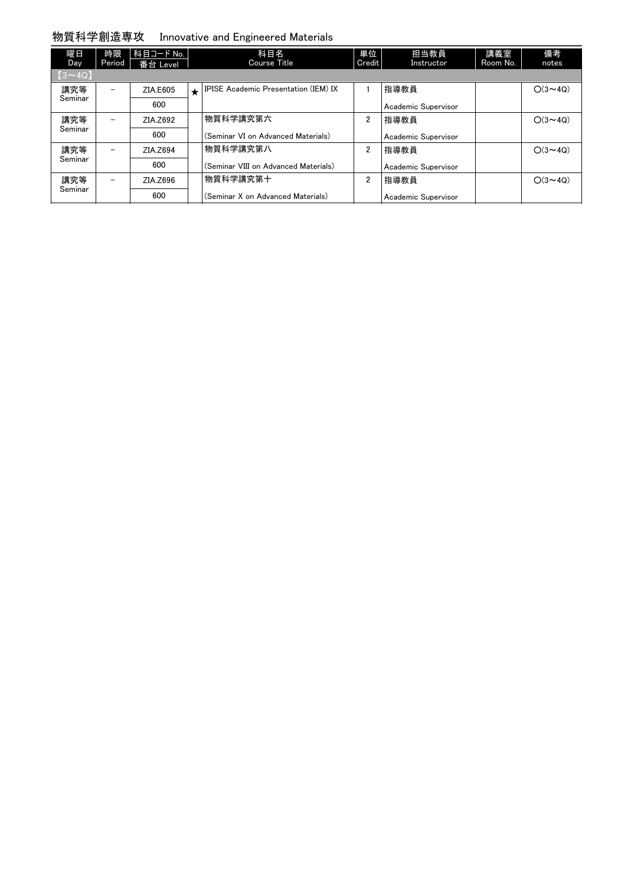### 物質科学創造専攻 Innovative and Engineered Materials

| 曜日<br>Day    | 時限<br>Period             | 科目コード No.  <br>番台 Level |         | 科目名<br>Course Title                  | 単位<br>Credit   | 担当教員<br>Instructor  | 講義室<br>Room No. | 備考<br>notes    |
|--------------|--------------------------|-------------------------|---------|--------------------------------------|----------------|---------------------|-----------------|----------------|
| $[3\sim 4Q]$ |                          |                         |         |                                      |                |                     |                 |                |
| 講究等          | $\overline{\phantom{m}}$ | ZIA.E605                | $\star$ | IPISE Academic Presentation (IEM) IX |                | 指導教員                |                 | $O(3 \sim 40)$ |
| Seminar      |                          | 600                     |         |                                      |                | Academic Supervisor |                 |                |
| 講究等          |                          | ZIA.Z692                |         | 物質科学講究第六                             | 2              | 指導教員                |                 | $O(3 \sim 40)$ |
| Seminar      |                          | 600                     |         | (Seminar VI on Advanced Materials)   |                | Academic Supervisor |                 |                |
| 講究等          |                          | ZIA.Z694                |         | 物質科学講究第八                             | 2              | 指導教員                |                 | $O(3 \sim 40)$ |
| Seminar      |                          | 600                     |         | (Seminar VIII on Advanced Materials) |                | Academic Supervisor |                 |                |
| 講究等          | $\overline{\phantom{0}}$ | ZIA.Z696                |         | 物質科学講究第十                             | $\overline{2}$ | 指導教員                |                 | $O(3 \sim 40)$ |
| Seminar      |                          | 600                     |         | (Seminar X on Advanced Materials)    |                | Academic Supervisor |                 |                |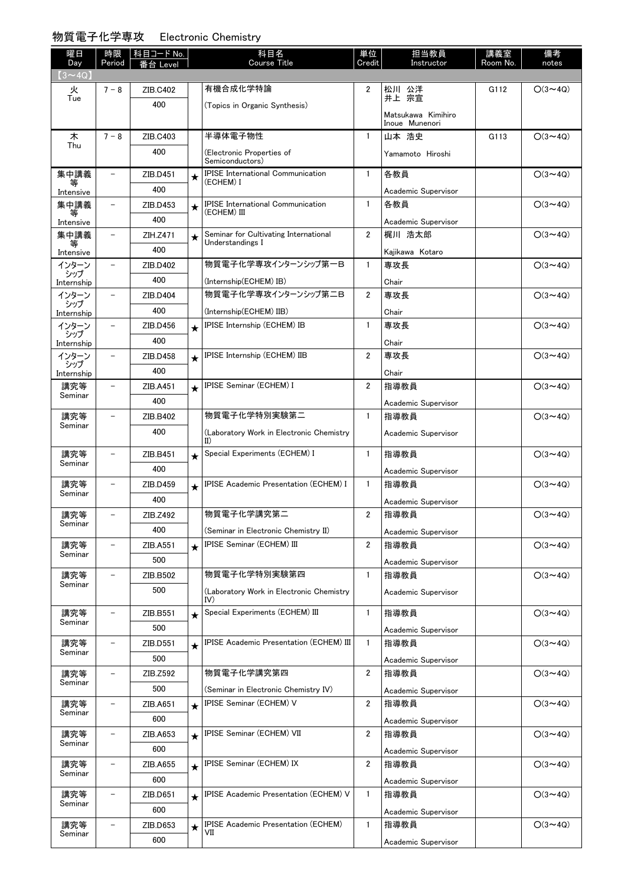#### 物質電子化学専攻 Electronic Chemistry

| 曜日                   | 時限                       | │科目コード No.      |         | 科目名                                                         | 単位             | 担当教員                                 | 講義室      | 備考             |
|----------------------|--------------------------|-----------------|---------|-------------------------------------------------------------|----------------|--------------------------------------|----------|----------------|
| Day<br>$(3 \sim 4Q)$ | Period                   | Level           |         | <b>Course Title</b>                                         | Credit         | Instructor                           | Room No. | notes          |
| 火                    | $7 - 8$                  | ZIB.C402        |         | 有機合成化学特論                                                    | $\overline{2}$ | 松川 公洋<br>井上 宗宣                       | G112     | $O(3 \sim 4Q)$ |
| Tue                  |                          | 400             |         | (Topics in Organic Synthesis)                               |                |                                      |          |                |
|                      |                          |                 |         |                                                             |                | Matsukawa Kimihiro<br>Inoue Munenori |          |                |
| 木                    | $7 - 8$                  | ZIB.C403        |         | 半導体電子物性                                                     | $\mathbf{1}$   | 山本 浩史                                | G113     | $O(3 \sim 4Q)$ |
| Thu                  |                          | 400             |         | (Electronic Properties of                                   |                | Yamamoto Hiroshi                     |          |                |
|                      |                          |                 |         | Semiconductors)<br><b>IPISE International Communication</b> |                |                                      |          |                |
| 集中講義<br>等            | $\qquad \qquad -$        | ZIB.D451<br>400 | $\star$ | (ECHEM) I                                                   | $\mathbf{1}$   | 各教員                                  |          | $O(3 \sim 4Q)$ |
| Intensive            | $\qquad \qquad -$        |                 |         | <b>IPISE</b> International Communication                    | $\mathbf{1}$   | Academic Supervisor<br>各教員           |          |                |
| 集中講義<br>等            |                          | ZIB.D453<br>400 | $\star$ | (ECHEM) III                                                 |                |                                      |          | $O(3 \sim 4Q)$ |
| Intensive<br>集中講義    |                          | ZIH.Z471        |         | Seminar for Cultivating International                       | $\overline{2}$ | Academic Supervisor<br>梶川 浩太郎        |          | $O(3 \sim 4Q)$ |
|                      |                          | 400             | $\star$ | Understandings I                                            |                |                                      |          |                |
| Intensive<br>インターン   | $\overline{\phantom{a}}$ | ZIB.D402        |         | 物質電子化学専攻インターンシップ第一B                                         | $\mathbf{1}$   | Kajikawa Kotaro<br>専攻長               |          | $O(3 \sim 4Q)$ |
| シップ                  |                          | 400             |         | (Internship(ECHEM) IB)                                      |                | Chair                                |          |                |
| Internship<br>インターン  | $\qquad \qquad -$        | ZIB.D404        |         | 物質電子化学専攻インターンシップ第二B                                         | $\overline{2}$ | 専攻長                                  |          | $O(3 \sim 4Q)$ |
| シップ<br>Internship    |                          | 400             |         | (Internship(ECHEM) IIB)                                     |                | Chair                                |          |                |
| インターン                | $\overline{\phantom{0}}$ | ZIB.D456        | $\star$ | IPISE Internship (ECHEM) IB                                 | $\mathbf{1}$   | 専攻長                                  |          | $O(3 \sim 4Q)$ |
| シップ<br>Internship    |                          | 400             |         |                                                             |                | Chair                                |          |                |
| インターン                | $\overline{\phantom{0}}$ | ZIB.D458        | $\star$ | IPISE Internship (ECHEM) IIB                                | $\overline{2}$ | 専攻長                                  |          | $O(3 \sim 4Q)$ |
| シップ<br>Internship    |                          | 400             |         |                                                             |                | Chair                                |          |                |
| 講究等                  | $\overline{\phantom{0}}$ | ZIB.A451        | $\star$ | <b>IPISE Seminar (ECHEM) I</b>                              | $\overline{2}$ | 指導教員                                 |          | $O(3 \sim 4Q)$ |
| Seminar              |                          | 400             |         |                                                             |                | Academic Supervisor                  |          |                |
| 講究等                  | $\qquad \qquad -$        | ZIB.B402        |         | 物質電子化学特別実験第二                                                | $\mathbf{1}$   | 指導教員                                 |          | $O(3 \sim 4Q)$ |
| Seminar              |                          | 400             |         | (Laboratory Work in Electronic Chemistry                    |                | Academic Supervisor                  |          |                |
|                      |                          |                 |         | $_{\rm II}$                                                 |                |                                      |          |                |
| 講究等<br>Seminar       | $\qquad \qquad -$        | ZIB.B451        | $\star$ | Special Experiments (ECHEM) I                               | $\mathbf{1}$   | 指導教員                                 |          | $O(3 \sim 4Q)$ |
|                      |                          | 400             |         |                                                             |                | Academic Supervisor                  |          |                |
| 講究等<br>Seminar       | $\qquad \qquad -$        | ZIB.D459        | $\star$ | <b>IPISE Academic Presentation (ECHEM) I</b>                | $\mathbf{1}$   | 指導教員                                 |          | $O(3 \sim 4Q)$ |
|                      |                          | 400             |         |                                                             |                | Academic Supervisor                  |          |                |
| 講究等<br>Seminar       | $\qquad \qquad -$        | ZIB.Z492        |         | 物質電子化学講究第二                                                  | $\overline{2}$ | 指導教員                                 |          | $O(3 \sim 4Q)$ |
|                      |                          | 400             |         | (Seminar in Electronic Chemistry II)                        |                | Academic Supervisor                  |          |                |
| 講究等<br>Seminar       |                          | ZIB.A551        | $\star$ | IPISE Seminar (ECHEM) III                                   | $\overline{2}$ | 指導教員                                 |          | $O(3 \sim 4Q)$ |
|                      |                          | 500             |         |                                                             |                | Academic Supervisor                  |          |                |
| 講究等<br>Seminar       | $\overline{\phantom{0}}$ | ZIB.B502        |         | 物質電子化学特別実験第四                                                | $\mathbf{1}$   | 指導教員                                 |          | $O(3 \sim 4Q)$ |
|                      |                          | 500             |         | (Laboratory Work in Electronic Chemistry<br>IV)             |                | Academic Supervisor                  |          |                |
| 講究等                  | $\overline{\phantom{0}}$ | ZIB.B551        | $\star$ | Special Experiments (ECHEM) III                             | $\mathbf{1}$   | 指導教員                                 |          | $O(3 \sim 4Q)$ |
| Seminar              |                          | 500             |         |                                                             |                | Academic Supervisor                  |          |                |
| 講究等                  | $\qquad \qquad -$        | ZIB.D551        | $\star$ | <b>IPISE Academic Presentation (ECHEM) III</b>              | $\mathbf{1}$   | 指導教員                                 |          | $O(3 \sim 4Q)$ |
| Seminar              |                          | 500             |         |                                                             |                | Academic Supervisor                  |          |                |
| 講究等<br>Seminar       | $\overline{\phantom{0}}$ | ZIB.Z592        |         | 物質電子化学講究第四                                                  | $\overline{2}$ | 指導教員                                 |          | $O(3 \sim 4Q)$ |
|                      |                          | 500             |         | (Seminar in Electronic Chemistry IV)                        |                | Academic Supervisor                  |          |                |
| 講究等<br>Seminar       | $\qquad \qquad -$        | ZIB.A651        | $\star$ | IPISE Seminar (ECHEM) V                                     | $\overline{2}$ | 指導教員                                 |          | $O(3 \sim 4Q)$ |
|                      |                          | 600             |         |                                                             |                | Academic Supervisor                  |          |                |
| 講究等<br>Seminar       | $\overline{\phantom{0}}$ | ZIB.A653        | $\star$ | IPISE Seminar (ECHEM) VII                                   | $\overline{2}$ | 指導教員                                 |          | $O(3 \sim 4Q)$ |
|                      |                          | 600             |         |                                                             |                | Academic Supervisor                  |          |                |
| 講究等<br>Seminar       | $\overline{\phantom{0}}$ | ZIB.A655        | $\star$ | <b>IPISE Seminar (ECHEM) IX</b>                             | $\overline{2}$ | 指導教員                                 |          | $O(3 \sim 4Q)$ |
|                      |                          | 600             |         |                                                             |                | Academic Supervisor                  |          |                |
| 講究等<br>Seminar       | $\overline{\phantom{a}}$ | ZIB.D651        | $\star$ | <b>IPISE Academic Presentation (ECHEM) V</b>                | $\mathbf{1}$   | 指導教員                                 |          | $O(3 \sim 4Q)$ |
|                      |                          | 600             |         |                                                             |                | Academic Supervisor                  |          |                |
| 講究等<br>Seminar       | $\overline{\phantom{0}}$ | ZIB.D653        | $\star$ | <b>IPISE Academic Presentation (ECHEM)</b><br>VII           | $\mathbf{1}$   | 指導教員                                 |          | $O(3 \sim 4Q)$ |
|                      |                          | 600             |         |                                                             |                | Academic Supervisor                  |          |                |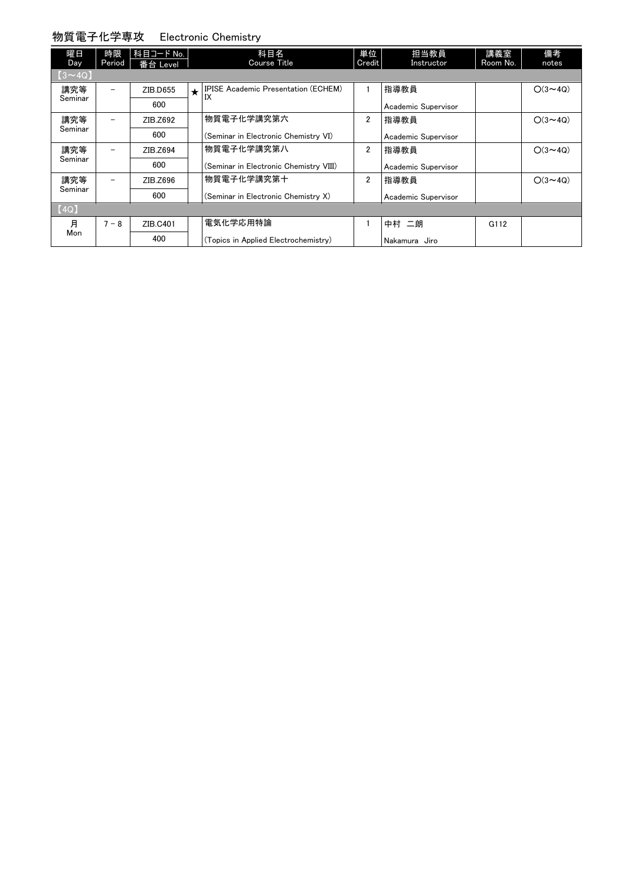#### 物質電子化学専攻 Electronic Chemistry

| 曜日<br>Day     | 時限<br>Period             | 科目コード No.<br>番台 Level |         | 科目名<br><b>Course Title</b>                       | 単位<br>Credit   | 担当教員<br>Instructor  | 講義室<br>Room No. | 備考<br>notes    |
|---------------|--------------------------|-----------------------|---------|--------------------------------------------------|----------------|---------------------|-----------------|----------------|
| $(3 \sim 4Q)$ |                          |                       |         |                                                  |                |                     |                 |                |
| 講究等           | $\overline{\phantom{0}}$ | ZIB.D655              | $\star$ | <b>IPISE Academic Presentation (ECHEM)</b><br>IX |                | 指導教員                |                 | $O(3 \sim 4Q)$ |
| Seminar       |                          | 600                   |         |                                                  |                | Academic Supervisor |                 |                |
| 講究等           | $\overline{\phantom{0}}$ | ZIB.Z692              |         | 物質電子化学講究第六                                       | $\overline{2}$ | 指導教員                |                 | $O(3 \sim 4Q)$ |
| Seminar       |                          | 600                   |         | (Seminar in Electronic Chemistry VI)             |                | Academic Supervisor |                 |                |
| 講究等           | $\overline{\phantom{0}}$ | ZIB.Z694              |         | 物質電子化学講究第八                                       | $\overline{2}$ | 指導教員                |                 | $O(3 \sim 4Q)$ |
| Seminar       |                          | 600                   |         | (Seminar in Electronic Chemistry VIII)           |                | Academic Supervisor |                 |                |
| 講究等           | $\overline{\phantom{0}}$ | ZIB.Z696              |         | 物質電子化学講究第十                                       | $\overline{2}$ | 指導教員                |                 | $O(3 \sim 4Q)$ |
| Seminar       |                          | 600                   |         | (Seminar in Electronic Chemistry X)              |                | Academic Supervisor |                 |                |
| [4Q]          |                          |                       |         |                                                  |                |                     |                 |                |
| 月             | $7 - 8$                  | ZIB.C401              |         | 電気化学応用特論                                         |                | 中村 二朗               | G112            |                |
| Mon           |                          | 400                   |         | (Topics in Applied Electrochemistry)             |                | Nakamura<br>Jiro    |                 |                |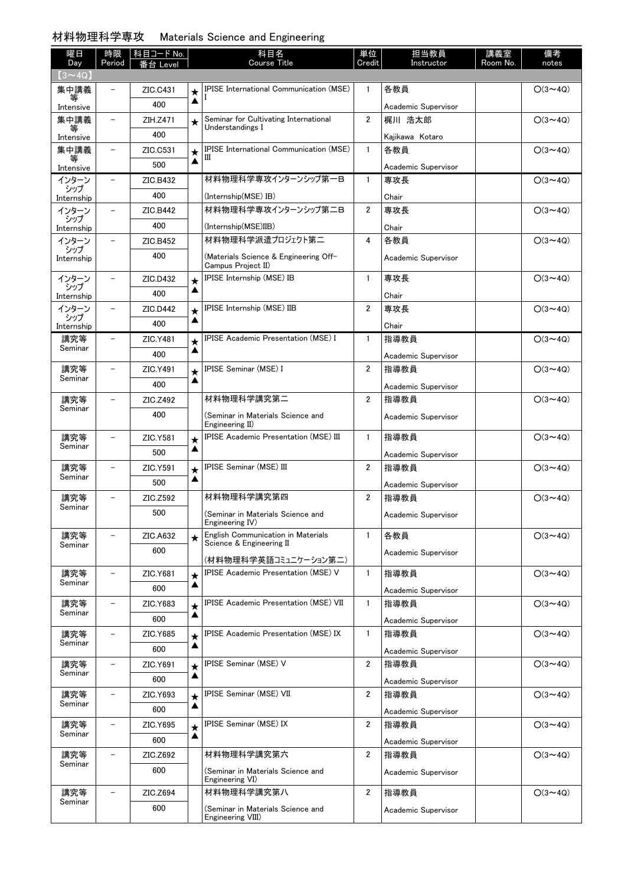### 材料物理科学専攻 Materials Science and Engineering

| 曜日<br>Day         | 時限<br>Period             | 科目コード No.<br>番台 Level |         | 科目名<br><b>Course Title</b>                                     | 単位<br>Credit   | 担当教員<br>Instructor  | 講義室<br>Room No. | 備考<br>notes    |
|-------------------|--------------------------|-----------------------|---------|----------------------------------------------------------------|----------------|---------------------|-----------------|----------------|
| $(3 \sim 4Q)$     |                          |                       |         |                                                                |                |                     |                 |                |
| 集中講義              |                          | ZIC.C431              | $\star$ | <b>IPISE International Communication (MSE)</b>                 | $\mathbf{1}$   | 各教員                 |                 | $O(3 \sim 4Q)$ |
| Intensive         |                          | 400                   | ▲       |                                                                |                | Academic Supervisor |                 |                |
| 集中講義              | $\overline{\phantom{0}}$ | ZIH.Z471              | $\star$ | Seminar for Cultivating International                          | $\overline{2}$ | 梶川 浩太郎              |                 | $O(3 \sim 4Q)$ |
| Intensive         |                          | 400                   |         | Understandings I                                               |                | Kajikawa Kotaro     |                 |                |
| 集中講義              | $\overline{\phantom{0}}$ | ZIC.C531              | $\star$ | <b>IPISE International Communication (MSE)</b>                 | $\mathbf{1}$   | 各教員                 |                 | $O(3 \sim 4Q)$ |
| 等<br>Intensive    |                          | 500                   | ▲       | Ш                                                              |                | Academic Supervisor |                 |                |
| インターン             | $\overline{\phantom{0}}$ | ZIC.B432              |         | 材料物理科学専攻インターンシップ第一B                                            | $\mathbf{1}$   | 専攻長                 |                 | $O(3 \sim 4Q)$ |
| シップ<br>Internship |                          | 400                   |         | (Internship(MSE) IB)                                           |                | Chair               |                 |                |
| インターン             |                          | ZIC.B442              |         | 材料物理科学専攻インターンシップ第二B                                            | $\overline{2}$ | 専攻長                 |                 | $O(3 \sim 4Q)$ |
| シップ<br>Internship |                          | 400                   |         | (Internship(MSE)IIB)                                           |                | Chair               |                 |                |
| インターン             |                          | ZIC.B452              |         | 材料物理科学派遣プロジェクト第二                                               | 4              | 各教員                 |                 | $O(3 \sim 4Q)$ |
| シップ<br>Internship |                          | 400                   |         | (Materials Science & Engineering Off-<br>Campus Project II)    |                | Academic Supervisor |                 |                |
| インターン             |                          | ZIC.D432              | $\star$ | <b>IPISE Internship (MSE) IB</b>                               | $\mathbf{1}$   | 専攻長                 |                 | $O(3 \sim 40)$ |
| シップ<br>Internship |                          | 400                   | ▲       |                                                                |                | Chair               |                 |                |
| インターン             |                          | ZIC.D442              | $\star$ | <b>IPISE Internship (MSE) IIB</b>                              | $\overline{2}$ | 専攻長                 |                 | $O(3 \sim 4Q)$ |
| シップ<br>Internship |                          | 400                   | ▲       |                                                                |                | Chair               |                 |                |
| 講究等               | $\overline{\phantom{0}}$ | ZIC.Y481              | $\star$ | <b>IPISE Academic Presentation (MSE) I</b>                     | $\mathbf{1}$   | 指導教員                |                 | $O(3 \sim 4Q)$ |
| Seminar           |                          | 400                   | ▲       |                                                                |                | Academic Supervisor |                 |                |
| 講究等               |                          | ZIC.Y491              | $\star$ | IPISE Seminar (MSE) I                                          | $\overline{2}$ | 指導教員                |                 | $O(3 \sim 4Q)$ |
| Seminar           |                          | 400                   | ▲       |                                                                |                | Academic Supervisor |                 |                |
| 講究等               |                          | ZIC.Z492              |         | 材料物理科学講究第二                                                     | $\overline{2}$ | 指導教員                |                 | $O(3 \sim 4Q)$ |
| Seminar           |                          | 400                   |         | (Seminar in Materials Science and                              |                | Academic Supervisor |                 |                |
|                   |                          |                       |         | Engineering II)                                                |                |                     |                 |                |
| 講究等<br>Seminar    |                          | ZIC.Y581              | $\star$ | <b>IPISE Academic Presentation (MSE) III</b>                   | $\mathbf{1}$   | 指導教員                |                 | $O(3 \sim 4Q)$ |
|                   |                          | 500                   | ▲       |                                                                |                | Academic Supervisor |                 |                |
| 講究等<br>Seminar    |                          | ZIC.Y591              | $\star$ | <b>IPISE Seminar (MSE) III</b>                                 | $\overline{2}$ | 指導教員                |                 | $O(3 \sim 4Q)$ |
|                   |                          | 500                   | ▲       |                                                                |                | Academic Supervisor |                 |                |
| 講究等<br>Seminar    |                          | ZIC.Z592              |         | 材料物理科学講究第四                                                     | $\overline{2}$ | 指導教員                |                 | $O(3 \sim 4Q)$ |
|                   |                          | 500                   |         | (Seminar in Materials Science and<br>Engineering IV)           |                | Academic Supervisor |                 |                |
| 講究等<br>Seminar    |                          | ZIC.A632              | $\star$ | English Communication in Materials<br>Science & Engineering II | $\mathbf{1}$   | 各教員                 |                 | $O(3 \sim 4Q)$ |
|                   |                          | 600                   |         | (材料物理科学英語コミュニケーション第二)                                          |                | Academic Supervisor |                 |                |
| 講究等               |                          | ZIC.Y681              | $\star$ | <b>IPISE Academic Presentation (MSE) V</b>                     | $\mathbf{1}$   | 指導教員                |                 | $O(3 \sim 4Q)$ |
| Seminar           |                          | 600                   | ▲       |                                                                |                | Academic Supervisor |                 |                |
| 講究等               |                          | ZIC.Y683              | $\star$ | <b>IPISE Academic Presentation (MSE) VII</b>                   | $\mathbf{1}$   | 指導教員                |                 | $O(3 \sim 4Q)$ |
| Seminar           |                          | 600                   | ▲       |                                                                |                | Academic Supervisor |                 |                |
| 講究等               |                          | ZIC.Y685              | $\star$ | <b>IPISE Academic Presentation (MSE) IX</b>                    | $\mathbf{1}$   | 指導教員                |                 | $O(3 \sim 4Q)$ |
| Seminar           |                          | 600                   | ▲       |                                                                |                | Academic Supervisor |                 |                |
| 講究等               | $\equiv$                 | ZIC.Y691              | $\star$ | <b>IPISE Seminar (MSE) V</b>                                   | $\overline{2}$ | 指導教員                |                 | $O(3 \sim 4Q)$ |
| Seminar           |                          | 600                   | ▲       |                                                                |                | Academic Supervisor |                 |                |
| 講究等               |                          | ZIC.Y693              | $\star$ | <b>IPISE Seminar (MSE) VII</b>                                 | 2              | 指導教員                |                 | $O(3 \sim 4Q)$ |
| Seminar           |                          | 600                   | ▲       |                                                                |                | Academic Supervisor |                 |                |
| 講究等               | $\overline{\phantom{0}}$ | ZIC.Y695              | $\star$ | <b>IPISE Seminar (MSE) IX</b>                                  | 2              | 指導教員                |                 | $O(3 \sim 4Q)$ |
| Seminar           |                          | 600                   | ▲       |                                                                |                | Academic Supervisor |                 |                |
| 講究等               |                          | ZIC.Z692              |         | 材料物理科学講究第六                                                     | $\overline{2}$ | 指導教員                |                 | $O(3 \sim 4Q)$ |
| Seminar           |                          | 600                   |         | (Seminar in Materials Science and                              |                | Academic Supervisor |                 |                |
|                   |                          |                       |         | Engineering VI)                                                |                |                     |                 |                |
| 講究等<br>Seminar    | $\overline{\phantom{0}}$ | ZIC.Z694              |         | 材料物理科学講究第八                                                     | 2              | 指導教員                |                 | $O(3 \sim 4Q)$ |
|                   |                          | 600                   |         | (Seminar in Materials Science and<br>Engineering VIII)         |                | Academic Supervisor |                 |                |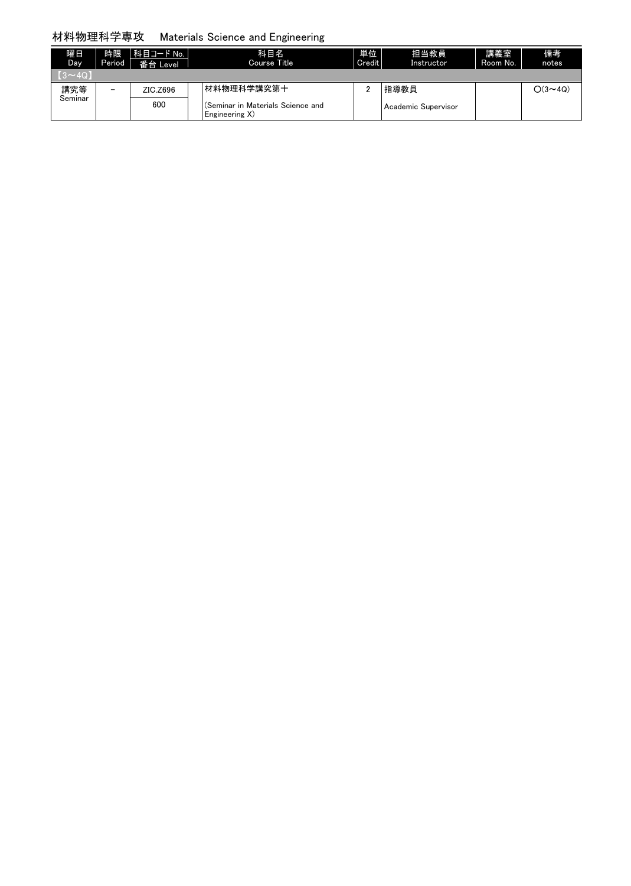### 材料物理科学専攻 Materials Science and Engineering

| 曜日<br>Day     | 時限<br>Period             | │科目コード No.<br>番台 Level | 科目名<br>Course Title                                 | 単位<br>Credit | 担当教員<br>Instructor    | 講義室<br>Room No. | 備考<br>notes    |
|---------------|--------------------------|------------------------|-----------------------------------------------------|--------------|-----------------------|-----------------|----------------|
| $(3 \sim 40)$ |                          |                        |                                                     |              |                       |                 |                |
| 講究等           | $\overline{\phantom{0}}$ | ZIC.Z696               | 材料物理科学講究第十                                          | c            | 指導教員                  |                 | $O(3 \sim 4Q)$ |
| Seminar       |                          | 600                    | (Seminar in Materials Science and<br>Engineering X) |              | l Academic Supervisor |                 |                |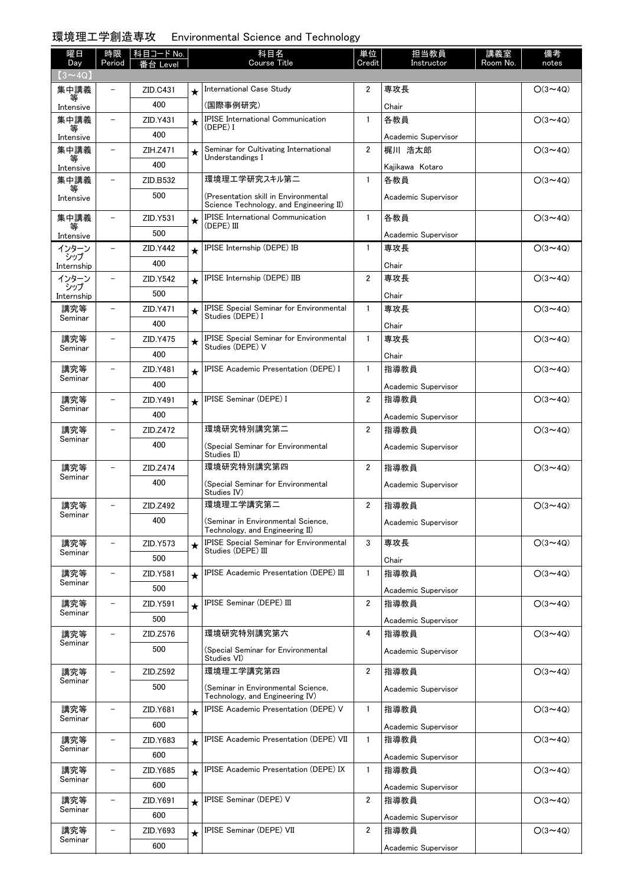# 環境理工学創造専攻 Environmental Science and Technology

| 曜日                   | 時限                       | 科目コード No. |            | 科目名                                                                             | 単位             | 担当教員                | 講義室      | 備考             |
|----------------------|--------------------------|-----------|------------|---------------------------------------------------------------------------------|----------------|---------------------|----------|----------------|
| Day<br>$(3 \sim 4Q)$ | Period                   | Level     |            | <b>Course Title</b>                                                             | Credit         | Instructor          | Room No. | notes          |
| 集中講義                 |                          | ZID.C431  | $\star$    | International Case Study                                                        | $\overline{2}$ | 専攻長                 |          | $O(3 \sim 4Q)$ |
| 等<br>Intensive       |                          | 400       |            | (国際事例研究)                                                                        |                | Chair               |          |                |
| 集中講義                 | $\overline{\phantom{0}}$ | ZID.Y431  | $\star$    | <b>IPISE</b> International Communication                                        | $\mathbf{1}$   | 各教員                 |          | $O(3 \sim 4Q)$ |
| 等<br>Intensive       |                          | 400       |            | (DEPE) I                                                                        |                | Academic Supervisor |          |                |
| 集中講義                 | $\overline{\phantom{0}}$ | ZIH.Z471  | $\star$    | Seminar for Cultivating International                                           | $\overline{2}$ | 梶川 浩太郎              |          | $O(3 \sim 4Q)$ |
| 等<br>Intensive       |                          | 400       |            | Understandings I                                                                |                | Kajikawa Kotaro     |          |                |
| 集中講義                 | $\overline{\phantom{0}}$ | ZID.B532  |            | 環境理エ学研究スキル第二                                                                    | $\mathbf{1}$   | 各教員                 |          | $O(3 \sim 4Q)$ |
| 等<br>Intensive       |                          | 500       |            | (Presentation skill in Environmental<br>Science Technology, and Engineering II) |                | Academic Supervisor |          |                |
| 集中講義                 | $\overline{\phantom{0}}$ | ZID.Y531  | $\star$    | <b>IPISE</b> International Communication                                        | $\mathbf{1}$   | 各教員                 |          | $O(3 \sim 4Q)$ |
| 等<br>Intensive       |                          | 500       |            | (DEPE) III                                                                      |                | Academic Supervisor |          |                |
| インターン                |                          | ZID.Y442  | $\star$    | <b>IPISE Internship (DEPE) IB</b>                                               | $\mathbf{1}$   | 専攻長                 |          | $O(3 \sim 4Q)$ |
| シップ<br>Internship    |                          | 400       |            |                                                                                 |                | Chair               |          |                |
| インターン                |                          | ZID.Y542  | $\bigstar$ | IPISE Internship (DEPE) IIB                                                     | $\overline{2}$ | 専攻長                 |          | $O(3 \sim 4Q)$ |
| シップ<br>Internship    |                          | 500       |            |                                                                                 |                | Chair               |          |                |
| 講究等                  | $\overline{\phantom{0}}$ | ZID.Y471  | $\star$    | <b>IPISE Special Seminar for Environmental</b>                                  | $\mathbf{1}$   | 専攻長                 |          | $O(3 \sim 4Q)$ |
| Seminar              |                          | 400       |            | Studies (DEPE) I                                                                |                | Chair               |          |                |
| 講究等                  |                          | ZID.Y475  | $\star$    | <b>IPISE Special Seminar for Environmental</b>                                  | $\mathbf{1}$   | 専攻長                 |          | $O(3 \sim 4Q)$ |
| Seminar              |                          | 400       |            | Studies (DEPE) V                                                                |                | Chair               |          |                |
| 講究等                  |                          | ZID.Y481  | $\star$    | <b>IPISE Academic Presentation (DEPE) I</b>                                     | $\mathbf{1}$   | 指導教員                |          | $O(3 \sim 4Q)$ |
| Seminar              |                          | 400       |            |                                                                                 |                | Academic Supervisor |          |                |
| 講究等                  |                          | ZID.Y491  | $\star$    | <b>IPISE Seminar (DEPE) I</b>                                                   | $\overline{2}$ | 指導教員                |          | $O(3 \sim 4Q)$ |
| Seminar              |                          | 400       |            |                                                                                 |                | Academic Supervisor |          |                |
| 講究等                  |                          | ZID.Z472  |            | 環境研究特別講究第二                                                                      | $\overline{2}$ | 指導教員                |          | $O(3 \sim 4Q)$ |
| Seminar              |                          | 400       |            | (Special Seminar for Environmental                                              |                | Academic Supervisor |          |                |
|                      |                          |           |            | Studies II)                                                                     |                |                     |          |                |
| 講究等<br>Seminar       |                          | ZID.Z474  |            | 環境研究特別講究第四                                                                      | $\overline{2}$ | 指導教員                |          | $O(3 \sim 4Q)$ |
|                      |                          | 400       |            | (Special Seminar for Environmental<br>Studies IV)                               |                | Academic Supervisor |          |                |
| 講究等                  |                          | ZID.Z492  |            | 環境理工学講究第二                                                                       | $\overline{2}$ | 指導教員                |          | $O(3 \sim 4Q)$ |
| Seminar              |                          | 400       |            | (Seminar in Environmental Science,<br>Technology, and Engineering II)           |                | Academic Supervisor |          |                |
| 講究等                  |                          | ZID.Y573  | $\star$    | <b>IPISE Special Seminar for Environmental</b>                                  | 3              | 専攻長                 |          | $O(3 \sim 4Q)$ |
| Seminar              |                          | 500       |            | Studies (DEPE) III                                                              |                | Chair               |          |                |
| 講究等                  | $\overline{\phantom{0}}$ | ZID.Y581  | $\star$    | <b>IPISE Academic Presentation (DEPE) III</b>                                   | $\mathbf{1}$   | 指導教員                |          | $O(3 \sim 4Q)$ |
| Seminar              |                          | 500       |            |                                                                                 |                | Academic Supervisor |          |                |
| 講究等                  | $\overline{\phantom{0}}$ | ZID.Y591  | $\star$    | <b>IPISE Seminar (DEPE) III</b>                                                 | $\overline{2}$ | 指導教員                |          | $O(3 \sim 4Q)$ |
| Seminar              |                          | 500       |            |                                                                                 |                | Academic Supervisor |          |                |
| 講究等                  |                          | ZID.Z576  |            | 環境研究特別講究第六                                                                      | 4              | 指導教員                |          | $O(3 \sim 4Q)$ |
| Seminar              |                          | 500       |            | (Special Seminar for Environmental<br>Studies VI)                               |                | Academic Supervisor |          |                |
| 講究等<br>Seminar       |                          | ZID.Z592  |            | 環境理工学講究第四                                                                       | $\overline{2}$ | 指導教員                |          | $O(3 \sim 4Q)$ |
|                      |                          | 500       |            | (Seminar in Environmental Science,<br>Technology, and Engineering IV)           |                | Academic Supervisor |          |                |
| 講究等<br>Seminar       |                          | ZID.Y681  | $\star$    | <b>IPISE Academic Presentation (DEPE) V</b>                                     | $\mathbf{1}$   | 指導教員                |          | $O(3 \sim 4Q)$ |
|                      |                          | 600       |            |                                                                                 |                | Academic Supervisor |          |                |
| 講究等<br>Seminar       |                          | ZID.Y683  | $\star$    | <b>IPISE Academic Presentation (DEPE) VII</b>                                   | $\mathbf{1}$   | 指導教員                |          | $O(3 \sim 4Q)$ |
|                      |                          | 600       |            |                                                                                 |                | Academic Supervisor |          |                |
| 講究等<br>Seminar       | $\overline{\phantom{0}}$ | ZID.Y685  | $\star$    | IPISE Academic Presentation (DEPE) IX                                           | 1              | 指導教員                |          | $O(3 \sim 4Q)$ |
|                      |                          | 600       |            |                                                                                 |                | Academic Supervisor |          |                |
| 講究等<br>Seminar       | $\overline{\phantom{0}}$ | ZID.Y691  | $\star$    | <b>IPISE Seminar (DEPE) V</b>                                                   | $\overline{2}$ | 指導教員                |          | $O(3 \sim 4Q)$ |
|                      |                          | 600       |            |                                                                                 |                | Academic Supervisor |          |                |
| 講究等<br>Seminar       | $\overline{\phantom{0}}$ | ZID.Y693  | $\star$    | <b>IPISE Seminar (DEPE) VII</b>                                                 | 2              | 指導教員                |          | $O(3 \sim 4Q)$ |
|                      |                          | 600       |            |                                                                                 |                | Academic Supervisor |          |                |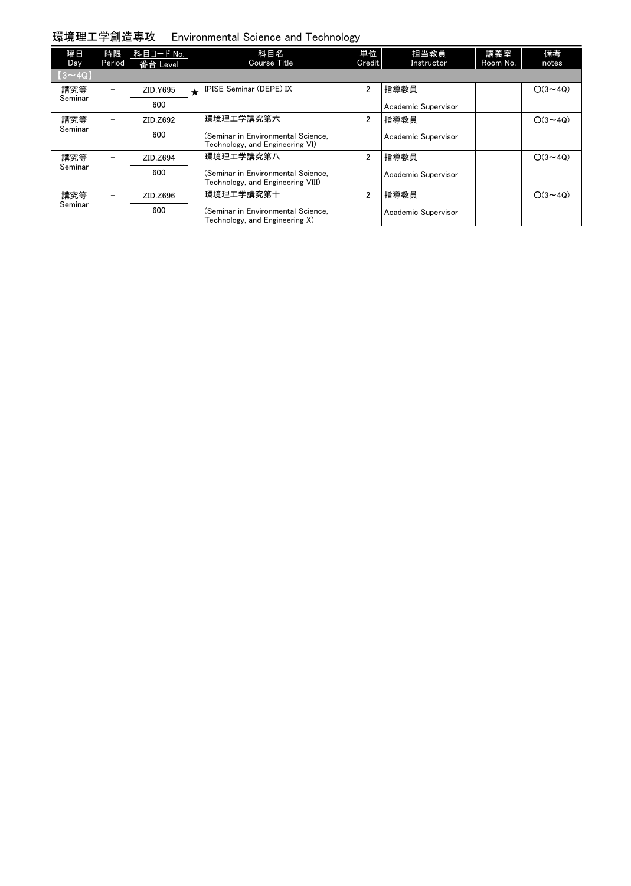### 環境理工学創造専攻 Environmental Science and Technology

| 曜日<br>Day    | 時限<br>Period             | 科目コード No.  <br>番台 Level |         | 科目名<br>Course Title                                                     | 単位<br>Credit   | 担当教員<br>Instructor  | 講義室<br>Room No. | 備考<br>notes    |
|--------------|--------------------------|-------------------------|---------|-------------------------------------------------------------------------|----------------|---------------------|-----------------|----------------|
| $(3\sim 4Q)$ |                          |                         |         |                                                                         |                |                     |                 |                |
| 講究等          |                          | ZID.Y695                | $\star$ | <b>IPISE Seminar (DEPE) IX</b>                                          | $\overline{2}$ | 指導教員                |                 | $O(3 \sim 4Q)$ |
| Seminar      |                          | 600                     |         |                                                                         |                | Academic Supervisor |                 |                |
| 講究等          |                          | ZID.Z692                |         | 環境理工学講究第六                                                               | $\overline{2}$ | 指導教員                |                 | $O(3 \sim 40)$ |
| Seminar      |                          | 600                     |         | (Seminar in Environmental Science.<br>Technology, and Engineering VI)   |                | Academic Supervisor |                 |                |
| 講究等          | $\overline{\phantom{m}}$ | ZID.Z694                |         | 環境理工学講究第八                                                               | $\overline{2}$ | 指導教員                |                 | $O(3 \sim 40)$ |
| Seminar      |                          | 600                     |         | (Seminar in Environmental Science.<br>Technology, and Engineering VIII) |                | Academic Supervisor |                 |                |
| 講究等          | $\overline{\phantom{m}}$ | ZID.Z696                |         | 環境理工学講究第十                                                               | $\overline{2}$ | 指導教員                |                 | $O(3 \sim 4Q)$ |
| Seminar      |                          | 600                     |         | (Seminar in Environmental Science.<br>Technology, and Engineering X)    |                | Academic Supervisor |                 |                |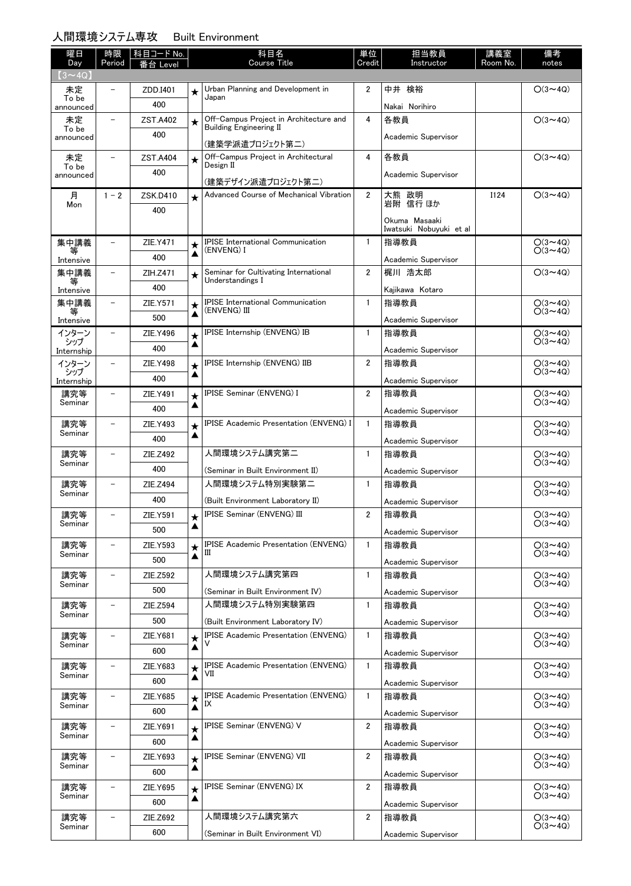### 人間環境システム専攻 Built Environment

| 曜日<br>Day          | 時限<br>Period             | 科目コード No.<br>番台 Level |              | 科目名<br><b>Course Title</b>                                | 単位<br>Credit   | 担当教員<br>Instructor          | 講義室<br>Room No. | 備考<br>notes                      |
|--------------------|--------------------------|-----------------------|--------------|-----------------------------------------------------------|----------------|-----------------------------|-----------------|----------------------------------|
| $(3 \sim 4Q)$      |                          |                       |              |                                                           |                |                             |                 |                                  |
| 未定                 | $\overline{\phantom{0}}$ | ZDD.I401              | ★            | Urban Planning and Development in                         | $\overline{2}$ | 中井 検裕                       |                 | $O(3 \sim 4Q)$                   |
| To be<br>announced |                          | 400                   |              | Japan                                                     |                | Nakai Norihiro              |                 |                                  |
| 未定                 | $\overline{\phantom{0}}$ | ZST.A402              | $\star$      | Off-Campus Project in Architecture and                    | 4              | 各教員                         |                 | $O(3 \sim 4Q)$                   |
| To be<br>announced |                          | 400                   |              | <b>Building Engineering II</b>                            |                | Academic Supervisor         |                 |                                  |
| 未定                 | $\qquad \qquad -$        | <b>ZST.A404</b>       |              | (建築学派遣プロジェクト第二)<br>Off-Campus Project in Architectural    | 4              | 各教員                         |                 | $O(3 \sim 4Q)$                   |
| To be              |                          | 400                   | $\star$      | Design II                                                 |                |                             |                 |                                  |
| announced          |                          |                       |              | (建築デザイン派遣プロジェクト第二)                                        |                | Academic Supervisor         |                 |                                  |
| 月<br>Mon           | $1 - 2$                  | ZSK.D410              | $\star$      | Advanced Course of Mechanical Vibration                   | $\overline{2}$ | 大熊 政明<br>岩附 信行 ほか           | I124            | $O(3 \sim 4Q)$                   |
|                    |                          | 400                   |              |                                                           |                | Okuma Masaaki               |                 |                                  |
|                    |                          |                       |              |                                                           |                | Iwatsuki Nobuyuki et al     |                 |                                  |
| 集中講義               | $\overline{\phantom{0}}$ | ZIE.Y471              | ★            | <b>IPISE</b> International Communication<br>(ENVENG) I    | $\mathbf{1}$   | 指導教員                        |                 | $O(3 \sim 4Q)$<br>$O(3 \sim 4Q)$ |
| Intensive          |                          | 400                   | ▲            |                                                           |                | Academic Supervisor         |                 |                                  |
| 集中講義<br>等          | $\qquad \qquad -$        | ZIH.Z471              | $\star$      | Seminar for Cultivating International<br>Understandings I | $\overline{2}$ | 梶川 浩太郎                      |                 | $O(3 \sim 4Q)$                   |
| Intensive          |                          | 400                   |              |                                                           |                | Kajikawa Kotaro             |                 |                                  |
| 集中講義<br>等          | $\qquad \qquad -$        | ZIE.Y571              | ★            | <b>IPISE International Communication</b><br>(ENVENG) III  | $\mathbf{1}$   | 指導教員                        |                 | $O(3 \sim 4Q)$<br>$O(3 \sim 4Q)$ |
| Intensive          |                          | 500                   | ▲            |                                                           |                | Academic Supervisor         |                 |                                  |
| インターン<br>シップ       | $\qquad \qquad -$        | ZIE.Y496              | $\star$<br>▲ | IPISE Internship (ENVENG) IB                              | $\mathbf{1}$   | 指導教員                        |                 | $O(3 \sim 4Q)$<br>$O(3 \sim 4Q)$ |
| Internship         |                          | 400                   |              |                                                           |                | Academic Supervisor         |                 |                                  |
| インターン<br>シップ       | $\overline{\phantom{0}}$ | <b>ZIE.Y498</b>       | ★<br>▲       | IPISE Internship (ENVENG) IIB                             | $\overline{2}$ | 指導教員                        |                 | $O(3 \sim 4Q)$<br>$O(3 \sim 4Q)$ |
| Internship         |                          | 400                   |              |                                                           |                | Academic Supervisor         |                 |                                  |
| 講究等<br>Seminar     |                          | ZIE.Y491              | $\star$<br>▲ | IPISE Seminar (ENVENG) I                                  | $\overline{2}$ | 指導教員                        |                 | $O(3 \sim 4Q)$<br>$O(3 \sim 4Q)$ |
|                    | $\qquad \qquad -$        | 400                   |              | <b>IPISE Academic Presentation (ENVENG) I</b>             |                | Academic Supervisor         |                 |                                  |
| 講究等<br>Seminar     |                          | ZIE.Y493<br>400       | $\star$<br>▲ |                                                           | $\mathbf{1}$   | 指導教員                        |                 | $O(3 \sim 4Q)$<br>$O(3 \sim 4Q)$ |
| 講究等                | $\qquad \qquad -$        | ZIE.Z492              |              | 人間環境システム講究第二                                              | $\mathbf{1}$   | Academic Supervisor<br>指導教員 |                 | $O(3 \sim 4Q)$                   |
| Seminar            |                          | 400                   |              |                                                           |                |                             |                 | $O(3 \sim 40)$                   |
| 講究等                | $\qquad \qquad -$        | ZIE.Z494              |              | (Seminar in Built Environment II)<br>人間環境システム特別実験第二       | $\mathbf{1}$   | Academic Supervisor<br>指導教員 |                 | $O(3 \sim 4Q)$                   |
| Seminar            |                          | 400                   |              | (Built Environment Laboratory II)                         |                |                             |                 | $O(3 \sim 4Q)$                   |
| 講究等                | $\overline{\phantom{0}}$ | ZIE.Y591              |              | <b>IPISE Seminar (ENVENG) III</b>                         | $\overline{2}$ | Academic Supervisor<br>指導教員 |                 | $O(3 \sim 4Q)$                   |
| Seminar            |                          | 500                   | $\star$<br>▲ |                                                           |                | Academic Supervisor         |                 | $O(3 \sim 4Q)$                   |
| 講究等                |                          | <b>ZIE.Y593</b>       | ★            | <b>IPISE Academic Presentation (ENVENG)</b>               | $\mathbf{1}$   | 指導教員                        |                 | $O(3 \sim 4Q)$                   |
| Seminar            |                          | 500                   | ▲            | Ш                                                         |                | Academic Supervisor         |                 | $O(3 \sim 4Q)$                   |
| 講究等                | $\overline{\phantom{0}}$ | ZIE.Z592              |              | 人間環境システム講究第四                                              | $\mathbf{1}$   | 指導教員                        |                 | $O(3 \sim 4Q)$                   |
| Seminar            |                          | 500                   |              | (Seminar in Built Environment IV)                         |                | Academic Supervisor         |                 | $O(3 \sim 4Q)$                   |
| 講究等                | $\qquad \qquad -$        | ZIE.Z594              |              | 人間環境システム特別実験第四                                            | $\mathbf{1}$   | 指導教員                        |                 | $O(3 \sim 4Q)$                   |
| Seminar            |                          | 500                   |              | (Built Environment Laboratory IV)                         |                | Academic Supervisor         |                 | $O(3 \sim 4Q)$                   |
| 講究等                | -                        | <b>ZIE.Y681</b>       | $\star$      | <b>IPISE Academic Presentation (ENVENG)</b>               | $\mathbf{1}$   | 指導教員                        |                 | $O(3 \sim 4Q)$                   |
| Seminar            |                          | 600                   | ▲            |                                                           |                | Academic Supervisor         |                 | $O(3 \sim 4Q)$                   |
| 講究等                | -                        | ZIE.Y683              | $\star$      | <b>IPISE Academic Presentation (ENVENG)</b>               | $\mathbf{1}$   | 指導教員                        |                 | $O(3 \sim 4Q)$                   |
| Seminar            |                          | 600                   | ▲            | VII                                                       |                | Academic Supervisor         |                 | $O(3 \sim 4Q)$                   |
| 講究等                | $\qquad \qquad -$        | ZIE.Y685              | $\star$      | <b>IPISE Academic Presentation (ENVENG)</b><br>IX         | $\mathbf{1}$   | 指導教員                        |                 | $O(3 \sim 4Q)$                   |
| Seminar            |                          | 600                   | ▲            |                                                           |                | Academic Supervisor         |                 | $O(3 \sim 4Q)$                   |
| 講究等                | $\qquad \qquad -$        | ZIE.Y691              | ★            | <b>IPISE Seminar (ENVENG) V</b>                           | $\overline{2}$ | 指導教員                        |                 | $O(3 \sim 4Q)$<br>$O(3 \sim 4Q)$ |
| Seminar            |                          | 600                   | ▲            |                                                           |                | Academic Supervisor         |                 |                                  |
| 講究等<br>Seminar     | $\qquad \qquad -$        | ZIE.Y693              | $\star$      | <b>IPISE Seminar (ENVENG) VII</b>                         | $\overline{2}$ | 指導教員                        |                 | $O(3 \sim 4Q)$<br>$O(3 \sim 4Q)$ |
|                    |                          | 600                   | ▲            |                                                           |                | Academic Supervisor         |                 |                                  |
| 講究等<br>Seminar     | -                        | ZIE.Y695              | $\star$      | <b>IPISE Seminar (ENVENG) IX</b>                          | $\overline{2}$ | 指導教員                        |                 | $O(3 \sim 4Q)$<br>$O(3 \sim 4Q)$ |
|                    |                          | 600                   | ▲            |                                                           |                | Academic Supervisor         |                 |                                  |
| 講究等<br>Seminar     | -                        | ZIE.Z692              |              | 人間環境システム講究第六                                              | $\overline{2}$ | 指導教員                        |                 | $O(3 \sim 4Q)$<br>$O(3 \sim 4Q)$ |
|                    |                          | 600                   |              | (Seminar in Built Environment VI)                         |                | Academic Supervisor         |                 |                                  |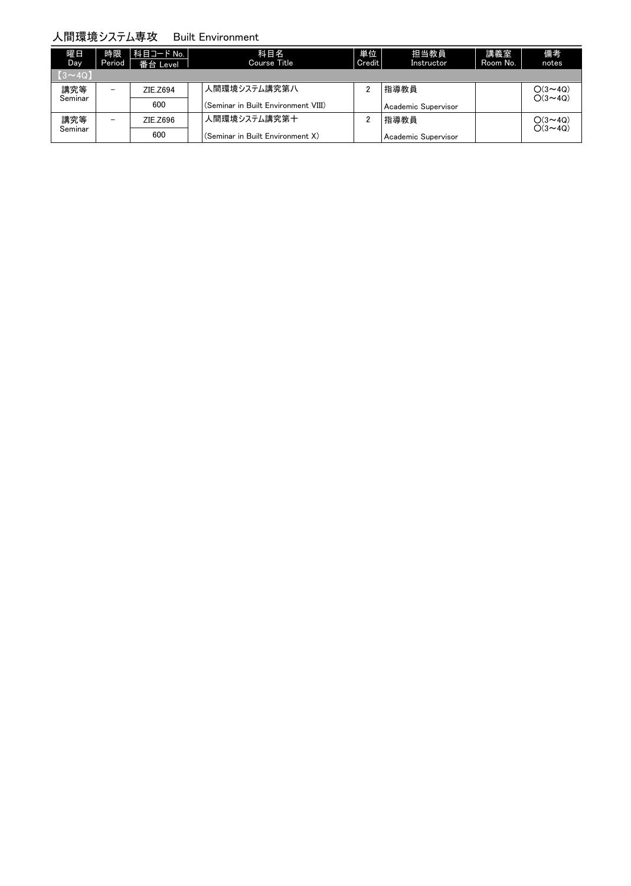#### 人間環境システム専攻 Built Environment

| 曜日<br>Day                            | 時限<br>Period             | 科目コード No.  <br>番台 Level | 科目名<br>Course Title                 | 単位<br>Credit | 担当教員<br>Instructor  | 講義室<br>Room No. | 備考<br>notes                      |
|--------------------------------------|--------------------------|-------------------------|-------------------------------------|--------------|---------------------|-----------------|----------------------------------|
| $\vert$ $\vert$ $\vert$ 3 $\sim$ 4Q) |                          |                         |                                     |              |                     |                 |                                  |
| 講究等                                  | $\qquad \qquad -$        | ZIE.Z694                | 人間環境システム講究第八                        | 2            | 指導教員                |                 | $O(3 \sim 4Q)$<br>$O(3 \sim 4Q)$ |
| Seminar                              |                          | 600                     | (Seminar in Built Environment VIII) |              | Academic Supervisor |                 |                                  |
| 講究等                                  | $\overline{\phantom{0}}$ | ZIE.Z696                | 人間環境システム講究第十                        | 2            | 指導教員                |                 | $O(3 \sim 4Q)$                   |
| Seminar                              |                          | 600                     | (Seminar in Built Environment X)    |              | Academic Supervisor |                 | $O(3 \sim 4Q)$                   |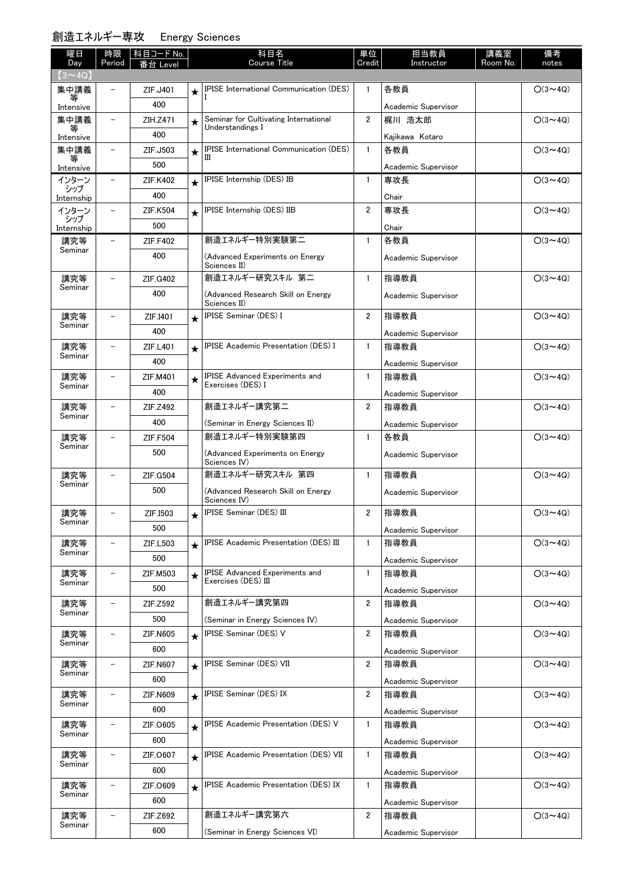#### 創造エネルギー専攻 Energy Sciences

| 曜日                    | 時限                       | 科目コード No.       |         | 科目名                                                          | 単位             | 担当教員                          | 講義室      | 備考             |
|-----------------------|--------------------------|-----------------|---------|--------------------------------------------------------------|----------------|-------------------------------|----------|----------------|
| Day                   | Period                   | Level           |         | <b>Course Title</b>                                          | Credit         | Instructor                    | Room No. | notes          |
| $(3 \sim 4Q)$<br>集中講義 |                          | ZIF.J401        |         | IPISE International Communication (DES)                      | 1              | 各教員                           |          | $O(3 \sim 4Q)$ |
|                       |                          | 400             |         |                                                              |                |                               |          |                |
| Intensive<br>集中講義     | $\overline{\phantom{0}}$ | ZIH.Z471        |         | Seminar for Cultivating International                        | $\overline{2}$ | Academic Supervisor<br>梶川 浩太郎 |          | $O(3 \sim 4Q)$ |
| 等                     |                          | 400             | $\star$ | Understandings I                                             |                |                               |          |                |
| Intensive<br>集中講義     | $\overline{\phantom{a}}$ | ZIF.J503        |         | <b>IPISE International Communication (DES)</b>               | $\mathbf{1}$   | Kajikawa Kotaro<br>各教員        |          | $O(3 \sim 4Q)$ |
| 等                     |                          | 500             | $\star$ |                                                              |                |                               |          |                |
| Intensive<br>インターン    | $\overline{\phantom{0}}$ | ZIF.K402        |         | IPISE Internship (DES) IB                                    | $\mathbf{1}$   | Academic Supervisor<br>専攻長    |          | $O(3 \sim 4Q)$ |
| シップ                   |                          | 400             | $\star$ |                                                              |                |                               |          |                |
| Internship<br>インターン   |                          | ZIF.K504        |         | IPISE Internship (DES) IIB                                   | $\overline{2}$ | Chair<br>専攻長                  |          | $O(3 \sim 4Q)$ |
| シップ                   |                          | 500             | $\star$ |                                                              |                |                               |          |                |
| Internship<br>講究等     |                          |                 |         | 創造エネルギー特別実験第二                                                | $\mathbf{1}$   | Chair<br>各教員                  |          | $O(3 \sim 4Q)$ |
| Seminar               |                          | ZIF.F402<br>400 |         |                                                              |                |                               |          |                |
|                       |                          |                 |         | (Advanced Experiments on Energy<br>Sciences II)              |                | Academic Supervisor           |          |                |
| 講究等                   |                          | ZIF.G402        |         | 創造エネルギー研究スキル 第二                                              | $\mathbf{1}$   | 指導教員                          |          | $O(3 \sim 4Q)$ |
| Seminar               |                          | 400             |         | (Advanced Research Skill on Energy                           |                | Academic Supervisor           |          |                |
|                       |                          |                 |         | Sciences II)<br>IPISE Seminar (DES) I                        | $\overline{2}$ | 指導教員                          |          | $O(3 \sim 4Q)$ |
| 講究等<br>Seminar        |                          | ZIF.I401<br>400 | $\star$ |                                                              |                |                               |          |                |
|                       |                          |                 |         | IPISE Academic Presentation (DES) I                          | $\mathbf{1}$   | Academic Supervisor           |          |                |
| 講究等<br>Seminar        |                          | ZIF.L401        | $\star$ |                                                              |                | 指導教員                          |          | $O(3 \sim 4Q)$ |
|                       |                          | 400             |         | <b>IPISE Advanced Experiments and</b>                        |                | Academic Supervisor           |          |                |
| 講究等<br>Seminar        |                          | ZIF.M401        | $\star$ | Exercises (DES) I                                            | $\mathbf{1}$   | 指導教員                          |          | $O(3 \sim 4Q)$ |
|                       |                          | 400             |         | 創造エネルギー講究第二                                                  |                | Academic Supervisor           |          |                |
| 講究等<br>Seminar        | $\overline{\phantom{0}}$ | ZIF.Z492        |         |                                                              | $\overline{2}$ | 指導教員                          |          | $O(3 \sim 4Q)$ |
|                       |                          | 400             |         | (Seminar in Energy Sciences II)<br>創造エネルギー特別実験第四             |                | Academic Supervisor           |          |                |
| 講究等<br>Seminar        |                          | ZIF.F504        |         |                                                              | $\mathbf{1}$   | 各教員                           |          | $O(3 \sim 4Q)$ |
|                       |                          | 500             |         | (Advanced Experiments on Energy<br>Sciences IV)              |                | Academic Supervisor           |          |                |
| 講究等                   |                          | ZIF.G504        |         | 創造エネルギー研究スキル 第四                                              | $\mathbf{1}$   | 指導教員                          |          | $O(3 \sim 4Q)$ |
| Seminar               |                          | 500             |         | (Advanced Research Skill on Energy                           |                | Academic Supervisor           |          |                |
|                       |                          |                 |         | Sciences IV)                                                 |                |                               |          |                |
| 講究等<br>Seminar        |                          | ZIF.I503        | $\star$ | <b>IPISE Seminar (DES) III</b>                               | 2              | 指導教員                          |          | $O(3 \sim 4Q)$ |
|                       |                          | 500             |         |                                                              |                | Academic Supervisor           |          |                |
| 講究等<br>Seminar        |                          | ZIF.L503        | $\star$ | IPISE Academic Presentation (DES) III                        | $\mathbf{1}$   | 指導教員                          |          | $O(3 \sim 4Q)$ |
|                       |                          | 500             |         |                                                              |                | Academic Supervisor           |          |                |
| 講究等<br>Seminar        | $\overline{\phantom{a}}$ | <b>ZIF.M503</b> | $\star$ | <b>IPISE Advanced Experiments and</b><br>Exercises (DES) III | $\mathbf{1}$   | 指導教員                          |          | $O(3 \sim 4Q)$ |
|                       |                          | 500             |         |                                                              |                | Academic Supervisor           |          |                |
| 講究等<br>Seminar        | -                        | ZIF.Z592        |         | 創造エネルギー講究第四                                                  | 2              | 指導教員                          |          | $O(3 \sim 4Q)$ |
|                       |                          | 500             |         | (Seminar in Energy Sciences IV)                              |                | Academic Supervisor           |          |                |
| 講究等<br>Seminar        |                          | ZIF.N605        | $\star$ | <b>IPISE Seminar (DES) V</b>                                 | $\overline{2}$ | 指導教員                          |          | $O(3 \sim 4Q)$ |
|                       |                          | 600             |         |                                                              |                | Academic Supervisor           |          |                |
| 講究等<br>Seminar        |                          | ZIF.N607        | $\star$ | IPISE Seminar (DES) VII                                      | 2              | 指導教員                          |          | $O(3 \sim 4Q)$ |
|                       |                          | 600             |         |                                                              |                | Academic Supervisor           |          |                |
| 講究等<br>Seminar        | $\overline{\phantom{0}}$ | ZIF.N609        | $\star$ | IPISE Seminar (DES) IX                                       | 2              | 指導教員                          |          | $O(3 \sim 4Q)$ |
|                       |                          | 600             |         |                                                              |                | Academic Supervisor           |          |                |
| 講究等<br>Seminar        | $\overline{\phantom{0}}$ | ZIF.0605        | $\star$ | <b>IPISE Academic Presentation (DES) V</b>                   | $\mathbf{1}$   | 指導教員                          |          | $O(3 \sim 4Q)$ |
|                       |                          | 600             |         |                                                              |                | Academic Supervisor           |          |                |
| 講究等<br>Seminar        | -                        | ZIF.0607        | $\star$ | IPISE Academic Presentation (DES) VII                        | $\mathbf{1}$   | 指導教員                          |          | $O(3 \sim 4Q)$ |
|                       |                          | 600             |         |                                                              |                | Academic Supervisor           |          |                |
| 講究等<br>Seminar        |                          | ZIF.0609        | $\star$ | <b>IPISE Academic Presentation (DES) IX</b>                  | $\mathbf{1}$   | 指導教員                          |          | $O(3 \sim 4Q)$ |
|                       |                          | 600             |         |                                                              |                | Academic Supervisor           |          |                |
| 講究等<br>Seminar        |                          | ZIF.Z692        |         | 創造エネルギー講究第六                                                  | $\overline{2}$ | 指導教員                          |          | $O(3 \sim 4Q)$ |
|                       |                          | 600             |         | (Seminar in Energy Sciences VI)                              |                | Academic Supervisor           |          |                |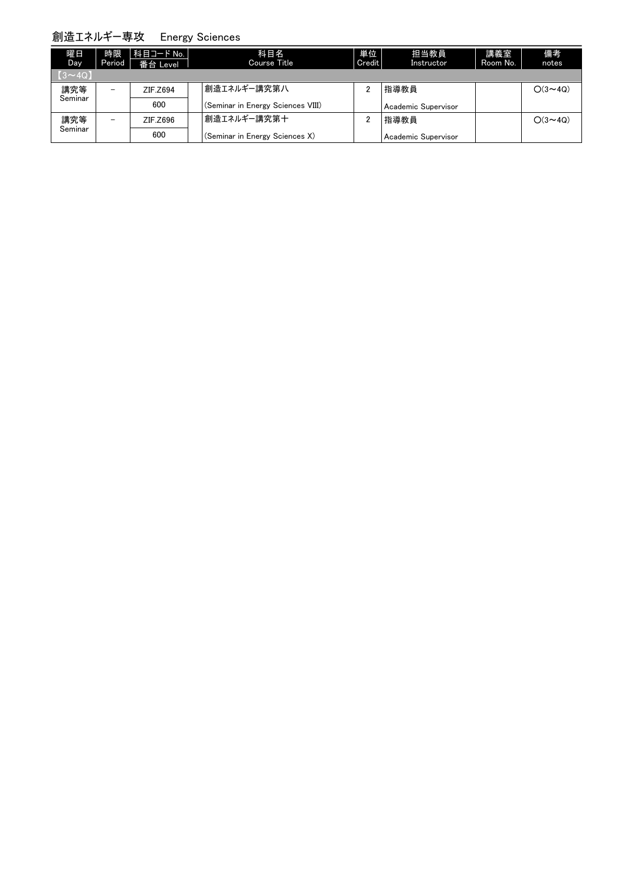### 創造エネルギー専攻 Energy Sciences

| 曜日<br>Day <sub></sub> | 時限<br>Period             | 科目コード No.  <br>番台 Level | 科目名<br>Course Title               | 単位<br>Credit   | 担当教員<br>Instructor  | 講義室<br>Room No. | 備考<br>notes    |
|-----------------------|--------------------------|-------------------------|-----------------------------------|----------------|---------------------|-----------------|----------------|
| $[3 \sim 4Q]$         |                          |                         |                                   |                |                     |                 |                |
| 講究等                   | $\overline{\phantom{0}}$ | ZIF.Z694                | 創造エネルギー講究第八                       | 2              | 指導教員                |                 | $O(3 \sim 40)$ |
| Seminar               |                          | 600                     | (Seminar in Energy Sciences VIII) |                | Academic Supervisor |                 |                |
| 講究等                   | $\overline{\phantom{0}}$ | ZIF.Z696                | 創造エネルギー講究第十                       | $\overline{2}$ | 指導教員                |                 | $O(3 \sim 40)$ |
| Seminar               |                          | 600                     | (Seminar in Energy Sciences X)    |                | Academic Supervisor |                 |                |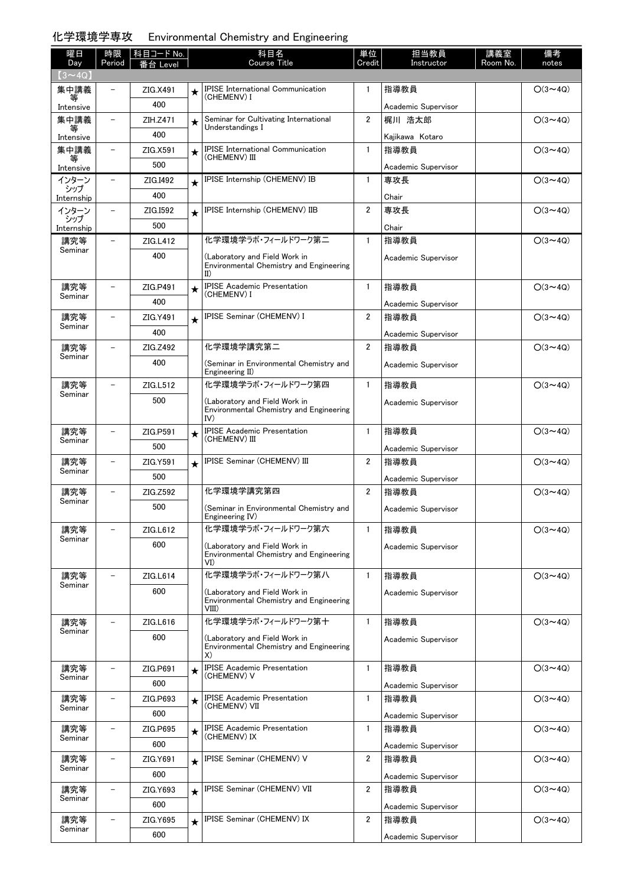#### 化学環境学専攻 Environmental Chemistry and Engineering

| 曜日                    | 時限                       | 科目コード No. |         | 科目名                                                                               | 単位             | 担当教員                          | 講義室      | 備考             |
|-----------------------|--------------------------|-----------|---------|-----------------------------------------------------------------------------------|----------------|-------------------------------|----------|----------------|
| Day                   | Period                   | 番台 Level  |         | <b>Course Title</b>                                                               | Credit         | Instructor                    | Room No. | notes          |
| $(3 \sim 4Q)$<br>集中講義 |                          | ZIG.X491  |         | IPISE International Communication                                                 | 1              | 指導教員                          |          | $O(3 \sim 4Q)$ |
|                       |                          | 400       | $\star$ | (CHEMENV) I                                                                       |                |                               |          |                |
| Intensive<br>集中講義     |                          | ZIH.Z471  | $\star$ | Seminar for Cultivating International                                             | $\overline{2}$ | Academic Supervisor<br>梶川 浩太郎 |          | $O(3 \sim 4Q)$ |
|                       |                          | 400       |         | Understandings I                                                                  |                |                               |          |                |
| Intensive<br>集中講義     | $\overline{\phantom{0}}$ | ZIG.X591  | $\star$ | <b>IPISE</b> International Communication                                          | $\mathbf{1}$   | Kajikawa Kotaro<br>指導教員       |          | $O(3 \sim 4Q)$ |
| 等                     |                          | 500       |         | (CHEMENV) III                                                                     |                |                               |          |                |
| Intensive<br>インターン    | $\overline{\phantom{0}}$ | ZIG.I492  | $\star$ | IPISE Internship (CHEMENV) IB                                                     | $\mathbf{1}$   | Academic Supervisor<br>専攻長    |          | $O(3 \sim 4Q)$ |
| シップ                   |                          | 400       |         |                                                                                   |                | Chair                         |          |                |
| Internship<br>インターン   |                          | ZIG.1592  | $\star$ | IPISE Internship (CHEMENV) IIB                                                    | $\overline{2}$ | 専攻長                           |          | $O(3 \sim 4Q)$ |
| シップ                   |                          | 500       |         |                                                                                   |                | Chair                         |          |                |
| Internship<br>講究等     | $\overline{\phantom{0}}$ | ZIG.L412  |         | 化学環境学うボ・フィールドワーク第二                                                                | $\mathbf{1}$   | 指導教員                          |          | $O(3 \sim 4Q)$ |
| Seminar               |                          | 400       |         | (Laboratory and Field Work in                                                     |                | Academic Supervisor           |          |                |
|                       |                          |           |         | Environmental Chemistry and Engineering<br>$\mathbf{I}(\mathbf{I})$               |                |                               |          |                |
| 講究等<br>Seminar        |                          | ZIG.P491  | $\star$ | <b>IPISE Academic Presentation</b><br>(CHEMENV) I                                 | $\mathbf{1}$   | 指導教員                          |          | $O(3 \sim 4Q)$ |
|                       |                          | 400       |         |                                                                                   |                | Academic Supervisor           |          |                |
| 講究等<br>Seminar        | $\overline{\phantom{0}}$ | ZIG.Y491  | $\star$ | IPISE Seminar (CHEMENV) I                                                         | $\overline{2}$ | 指導教員                          |          | $O(3 \sim 4Q)$ |
|                       |                          | 400       |         |                                                                                   |                | Academic Supervisor           |          |                |
| 講究等<br>Seminar        |                          | ZIG.Z492  |         | 化学環境学講究第二                                                                         | $\overline{2}$ | 指導教員                          |          | $O(3 \sim 4Q)$ |
|                       |                          | 400       |         | (Seminar in Environmental Chemistry and<br>Engineering II)                        |                | Academic Supervisor           |          |                |
| 講究等<br>Seminar        |                          | ZIG.L512  |         | 化学環境学うボ・フィールドワーク第四                                                                | $\mathbf{1}$   | 指導教員                          |          | $O(3 \sim 4Q)$ |
|                       |                          | 500       |         | (Laboratory and Field Work in<br>Environmental Chemistry and Engineering<br>IV)   |                | Academic Supervisor           |          |                |
| 講究等                   | $\overline{\phantom{0}}$ | ZIG.P591  | $\star$ | <b>IPISE Academic Presentation</b>                                                | $\mathbf{1}$   | 指導教員                          |          | $O(3 \sim 4Q)$ |
| Seminar               |                          | 500       |         | (CHEMENV) III                                                                     |                | Academic Supervisor           |          |                |
| 講究等                   |                          | ZIG.Y591  | $\star$ | IPISE Seminar (CHEMENV) III                                                       | $\overline{2}$ | 指導教員                          |          | $O(3 \sim 4Q)$ |
| Seminar               |                          | 500       |         |                                                                                   |                | Academic Supervisor           |          |                |
| 講究等                   |                          | ZIG.Z592  |         | 化学環境学講究第四                                                                         | $\overline{2}$ | 指導教員                          |          | $O(3 \sim 4Q)$ |
| Seminar               |                          | 500       |         | (Seminar in Environmental Chemistry and<br>Engineering IV)                        |                | Academic Supervisor           |          |                |
| 講究等<br>Seminar        |                          | ZIG.L612  |         | 化学環境学うボ・フィールドワーク第六                                                                | $\mathbf{1}$   | 指導教員                          |          | $O(3 \sim 4Q)$ |
|                       |                          | 600       |         | (Laboratory and Field Work in<br>Environmental Chemistry and Engineering<br>VI)   |                | Academic Supervisor           |          |                |
| 講究等                   |                          | ZIG.L614  |         | 化学環境学うボ・フィールドワーク第八                                                                | $\mathbf{1}$   | 指導教員                          |          | $O(3 \sim 4Q)$ |
| Seminar               |                          | 600       |         | (Laboratory and Field Work in<br>Environmental Chemistry and Engineering<br>VIII) |                | Academic Supervisor           |          |                |
| 講究等                   |                          | ZIG.L616  |         | 化学環境学うボ・フィールドワーク第十                                                                | $\mathbf{1}$   | 指導教員                          |          | $O(3 \sim 4Q)$ |
| Seminar               |                          | 600       |         | (Laboratory and Field Work in<br>Environmental Chemistry and Engineering<br>X)    |                | Academic Supervisor           |          |                |
| 講究等                   | -                        | ZIG.P691  | $\star$ | <b>IPISE Academic Presentation</b>                                                | $\mathbf{1}$   | 指導教員                          |          | $O(3 \sim 4Q)$ |
| Seminar               |                          | 600       |         | (CHEMENV) V                                                                       |                | Academic Supervisor           |          |                |
| 講究等                   | $\overline{\phantom{0}}$ | ZIG.P693  | $\star$ | <b>IPISE Academic Presentation</b>                                                | $\mathbf{1}$   | 指導教員                          |          | $O(3 \sim 4Q)$ |
| Seminar               |                          | 600       |         | (CHEMENV) VII                                                                     |                | Academic Supervisor           |          |                |
| 講究等                   | $\overline{\phantom{0}}$ | ZIG.P695  | $\star$ | <b>IPISE Academic Presentation</b>                                                | $\mathbf{1}$   | 指導教員                          |          | $O(3 \sim 4Q)$ |
| Seminar               |                          | 600       |         | (CHEMENV) IX                                                                      |                | Academic Supervisor           |          |                |
| 講究等                   |                          | ZIG.Y691  | $\star$ | IPISE Seminar (CHEMENV) V                                                         | $\overline{2}$ | 指導教員                          |          | $O(3 \sim 4Q)$ |
| Seminar               |                          | 600       |         |                                                                                   |                | Academic Supervisor           |          |                |
| 講究等                   | $\overline{\phantom{0}}$ | ZIG.Y693  | $\star$ | IPISE Seminar (CHEMENV) VII                                                       | $\overline{2}$ | 指導教員                          |          | $O(3 \sim 4Q)$ |
| Seminar               |                          | 600       |         |                                                                                   |                | Academic Supervisor           |          |                |
| 講究等                   | $\overline{\phantom{0}}$ | ZIG.Y695  | $\star$ | IPISE Seminar (CHEMENV) IX                                                        | $\overline{2}$ | 指導教員                          |          | $O(3 \sim 4Q)$ |
| Seminar               |                          | 600       |         |                                                                                   |                | Academic Supervisor           |          |                |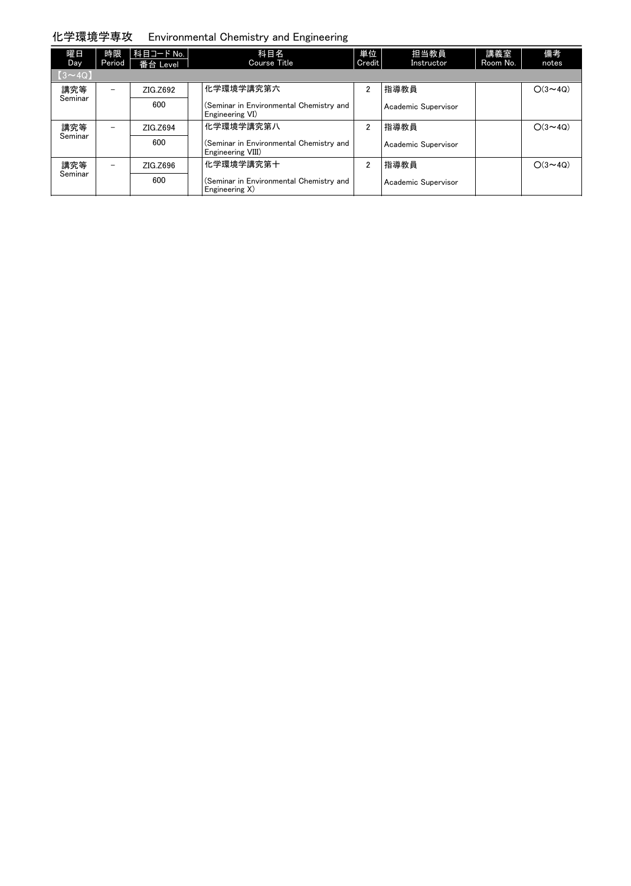### 化学環境学専攻 Environmental Chemistry and Engineering

| 曜日<br><b>Day</b> | 時限<br>Period             | 科目コード No.  <br>番台 Level | 科目名<br><b>Course Title</b>                                   | 単位<br>Credit   | 担当教員<br>Instructor  | 講義室<br>Room No. | 備考<br>notes    |
|------------------|--------------------------|-------------------------|--------------------------------------------------------------|----------------|---------------------|-----------------|----------------|
| $(3 \sim 4Q)$    |                          |                         |                                                              |                |                     |                 |                |
| 講究等              | $\overline{\phantom{m}}$ | ZIG.Z692                | 化学環境学講究第六                                                    | $\overline{2}$ | 指導教員                |                 | $O(3 \sim 4Q)$ |
| Seminar          |                          | 600                     | (Seminar in Environmental Chemistry and<br>Engineering VI)   |                | Academic Supervisor |                 |                |
| 講究等              | $\overline{\phantom{m}}$ | ZIG.Z694                | 化学環境学講究第八                                                    | $\overline{2}$ | 指導教員                |                 | $O(3 \sim 40)$ |
| Seminar          |                          | 600                     | (Seminar in Environmental Chemistry and<br>Engineering VIII) |                | Academic Supervisor |                 |                |
| 講究等              | $\overline{\phantom{0}}$ | ZIG.Z696                | 化学環境学講究第十                                                    | $\overline{2}$ | 指導教員                |                 | $O(3 \sim 40)$ |
| Seminar          |                          | 600                     | (Seminar in Environmental Chemistry and<br>Engineering X)    |                | Academic Supervisor |                 |                |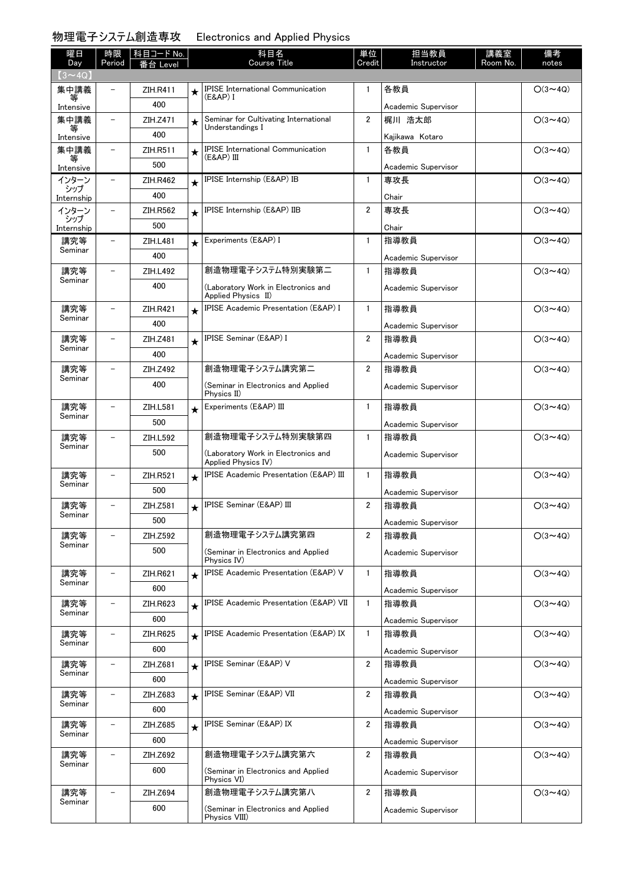#### 物理電子システム創造専攻

| <b>Electronics and Applied Physics</b> |  |
|----------------------------------------|--|
|----------------------------------------|--|

| 曜日<br>Day         | 時限<br>Period             | 科目コード No.<br>番台 Level |         | 科目名<br>Course Title                                            | 単位<br>Credit   | 担当教員<br>Instructor          | 講義室<br>Room No. | 備考<br>notes    |
|-------------------|--------------------------|-----------------------|---------|----------------------------------------------------------------|----------------|-----------------------------|-----------------|----------------|
| $(3 \sim 4Q)$     |                          |                       |         |                                                                |                |                             |                 |                |
| 集中講義              |                          | ZIH.R411              | $\star$ | <b>IPISE International Communication</b>                       | 1              | 各教員                         |                 | $O(3 \sim 4Q)$ |
| 等<br>Intensive    |                          | 400                   |         | (E&AP) I                                                       |                | Academic Supervisor         |                 |                |
| 集中講義              | $\overline{\phantom{0}}$ | ZIH.Z471              | $\star$ | Seminar for Cultivating International                          | $\overline{2}$ | 梶川 浩太郎                      |                 | $O(3 \sim 4Q)$ |
| Intensive         |                          | 400                   |         | Understandings I                                               |                | Kajikawa Kotaro             |                 |                |
| 集中講義              |                          | ZIH.R511              | $\star$ | <b>IPISE</b> International Communication                       | $\mathbf{1}$   | 各教員                         |                 | $O(3 \sim 4Q)$ |
| 等<br>Intensive    |                          | 500                   |         | (E&AP) III                                                     |                | Academic Supervisor         |                 |                |
| インターン             | $\overline{\phantom{0}}$ | ZIH.R462              | $\star$ | IPISE Internship (E&AP) IB                                     | 1              | 専攻長                         |                 | $O(3 \sim 4Q)$ |
| シップ<br>Internship |                          | 400                   |         |                                                                |                | Chair                       |                 |                |
| インターン             | $\overline{\phantom{0}}$ | ZIH.R562              | $\star$ | IPISE Internship (E&AP) IIB                                    | $\overline{2}$ | 専攻長                         |                 | $O(3 \sim 4Q)$ |
| シップ<br>Internship |                          | 500                   |         |                                                                |                | Chair                       |                 |                |
| 講究等               | $\overline{\phantom{0}}$ | ZIH.L481              | $\star$ | Experiments (E&AP) I                                           | $\mathbf{1}$   | 指導教員                        |                 | $O(3 \sim 4Q)$ |
| Seminar           |                          | 400                   |         |                                                                |                | Academic Supervisor         |                 |                |
| 講究等               |                          | ZIH.L492              |         | 創造物理電子システム特別実験第二                                               | $\mathbf{1}$   | 指導教員                        |                 | $O(3 \sim 40)$ |
| Seminar           |                          | 400                   |         | (Laboratory Work in Electronics and<br>Applied Physics II)     |                | Academic Supervisor         |                 |                |
| 講究等               | $\equiv$                 | <b>ZIH.R421</b>       | $\star$ | <b>IPISE Academic Presentation (E&amp;AP) I</b>                | $\mathbf{1}$   | 指導教員                        |                 | $O(3 \sim 4Q)$ |
| Seminar           |                          | 400                   |         |                                                                |                | Academic Supervisor         |                 |                |
| 講究等               |                          | ZIH.Z481              | $\star$ | <b>IPISE Seminar (E&amp;AP) I</b>                              | $\overline{2}$ | 指導教員                        |                 | $O(3 \sim 4Q)$ |
| Seminar           |                          | 400                   |         |                                                                |                | Academic Supervisor         |                 |                |
| 講究等               | $\overline{\phantom{0}}$ | ZIH.Z492              |         | 創造物理電子システム講究第二                                                 | 2              | 指導教員                        |                 | $O(3 \sim 4Q)$ |
| Seminar           |                          | 400                   |         | (Seminar in Electronics and Applied<br>Physics II)             |                | Academic Supervisor         |                 |                |
| 講究等               | $\overline{\phantom{0}}$ | ZIH.L581              | $\star$ | Experiments (E&AP) III                                         | $\mathbf{1}$   | 指導教員                        |                 | $O(3 \sim 4Q)$ |
| Seminar           |                          | 500                   |         |                                                                |                | Academic Supervisor         |                 |                |
| 講究等               |                          | ZIH.L592              |         | 創造物理電子システム特別実験第四                                               | $\mathbf{1}$   | 指導教員                        |                 | $O(3 \sim 4Q)$ |
| Seminar           |                          | 500                   |         | (Laboratory Work in Electronics and<br>Applied Physics IV)     |                | Academic Supervisor         |                 |                |
| 講究等               | $\overline{\phantom{0}}$ | <b>ZIH.R521</b>       | $\star$ | IPISE Academic Presentation (E&AP) III                         | 1              | 指導教員                        |                 | $O(3 \sim 4Q)$ |
| Seminar           |                          | 500                   |         |                                                                |                | Academic Supervisor         |                 |                |
| 講究等               | $\overline{\phantom{0}}$ | ZIH.Z581              | $\star$ | <b>IPISE Seminar (E&amp;AP) III</b>                            | 2              | 指導教員                        |                 | $O(3 \sim 4Q)$ |
| Seminar           |                          | 500                   |         |                                                                |                | Academic Supervisor         |                 |                |
| 講究等               |                          | ZIH.Z592              |         | 創造物理電子システム講究第四                                                 | $\overline{2}$ | 指導教員                        |                 | $O(3 \sim 4Q)$ |
| Seminar           |                          | 500                   |         | (Seminar in Electronics and Applied                            |                | Academic Supervisor         |                 |                |
|                   |                          |                       |         | Physics IV)<br><b>IPISE Academic Presentation (E&amp;AP) V</b> |                |                             |                 |                |
| 講究等<br>Seminar    |                          | ZIH.R621              | $\star$ |                                                                | 1              | 指導教員                        |                 | $O(3 \sim 4Q)$ |
|                   |                          | 600                   |         | <b>IPISE Academic Presentation (E&amp;AP) VII</b>              | 1              | Academic Supervisor         |                 |                |
| 講究等<br>Seminar    |                          | ZIH.R623              | $\star$ |                                                                |                | 指導教員                        |                 | $O(3 \sim 4Q)$ |
|                   | $\overline{\phantom{0}}$ | 600                   |         | IPISE Academic Presentation (E&AP) IX                          | $\mathbf{1}$   | Academic Supervisor<br>指導教員 |                 |                |
| 講究等<br>Seminar    |                          | ZIH.R625              | $\star$ |                                                                |                |                             |                 | $O(3 \sim 4Q)$ |
| 講究等               |                          | 600<br>ZIH.Z681       |         | IPISE Seminar (E&AP) V                                         | 2              | Academic Supervisor<br>指導教員 |                 | $O(3 \sim 4Q)$ |
| Seminar           |                          | 600                   | $\star$ |                                                                |                |                             |                 |                |
| 講究等               |                          |                       |         | <b>IPISE Seminar (E&amp;AP) VII</b>                            | $\overline{2}$ | Academic Supervisor         |                 |                |
| Seminar           |                          | ZIH.Z683<br>600       | $\star$ |                                                                |                | 指導教員                        |                 | $O(3 \sim 4Q)$ |
| 講究等               | $\overline{\phantom{0}}$ |                       |         | <b>IPISE Seminar (E&amp;AP) IX</b>                             | 2              | Academic Supervisor<br>指導教員 |                 | $O(3 \sim 4Q)$ |
| Seminar           |                          | ZIH.Z685              | $\star$ |                                                                |                |                             |                 |                |
|                   |                          | 600                   |         | 創造物理電子システム講究第六                                                 | 2              | Academic Supervisor         |                 |                |
| 講究等<br>Seminar    |                          | ZIH.Z692<br>600       |         |                                                                |                | 指導教員                        |                 | $O(3 \sim 4Q)$ |
|                   |                          |                       |         | (Seminar in Electronics and Applied<br>Physics VI)             |                | Academic Supervisor         |                 |                |
| 講究等               | $\overline{\phantom{0}}$ | ZIH.Z694              |         | 創造物理電子システム講究第八                                                 | 2              | 指導教員                        |                 | $O(3 \sim 4Q)$ |
| Seminar           |                          | 600                   |         | (Seminar in Electronics and Applied<br>Physics VIII)           |                | Academic Supervisor         |                 |                |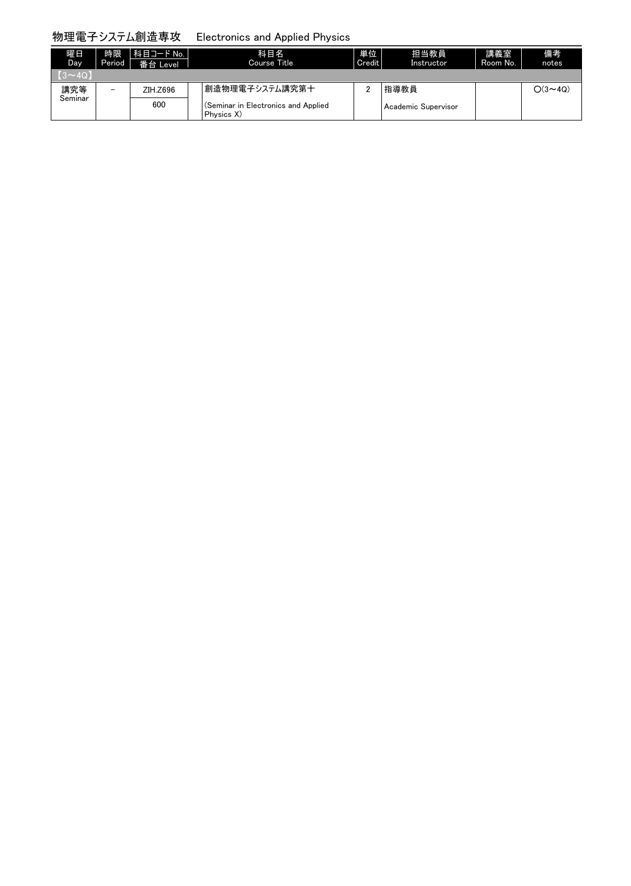# 物理電子システム創造専攻 Electronics and Applied Physics

| 曜日<br>Day.     | 時限<br>Period | 科目コード No.<br>番台 Level | 科目名<br>Course Title                               | 単位<br>Credit | 担当教員<br>Instructor  | 講義室<br>Room No. | 備考<br>notes       |
|----------------|--------------|-----------------------|---------------------------------------------------|--------------|---------------------|-----------------|-------------------|
| $(3\sim 40)$   |              |                       |                                                   |              |                     |                 |                   |
| 講究等<br>Seminar | -            | ZIH.Z696              | 創造物理電子システム講究第十                                    |              | 指導教員                |                 | $\bigcirc$ (3~40) |
|                |              | 600                   | (Seminar in Electronics and Applied<br>Physics X) |              | Academic Supervisor |                 |                   |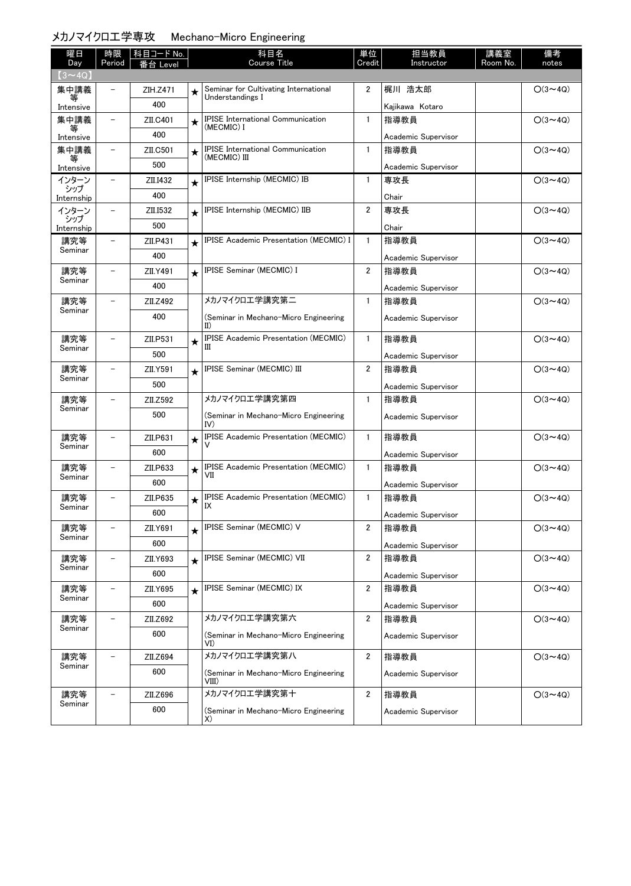# メカノマイクロ工学専攻 Mechano-Micro Engineering

| 曜日<br>Day         | 時限<br>Period             | 科目コード No.<br>番台 Level |         | 科目名<br><b>Course Title</b>                               | 単位<br>Credit            | 担当教員<br>Instructor  | 講義室<br>Room No. | 備考<br>notes    |
|-------------------|--------------------------|-----------------------|---------|----------------------------------------------------------|-------------------------|---------------------|-----------------|----------------|
| $(3 \sim 4Q)$     |                          |                       |         |                                                          |                         |                     |                 |                |
| 集中講義              |                          | ZIH.Z471              | $\star$ | Seminar for Cultivating International                    | $\overline{2}$          | 梶川 浩太郎              |                 | $O(3 \sim 4Q)$ |
| 等<br>Intensive    |                          | 400                   |         | Understandings I                                         |                         | Kajikawa Kotaro     |                 |                |
| 集中講義              |                          | ZII.C401              | $\star$ | <b>IPISE</b> International Communication                 | $\mathbf{1}$            | 指導教員                |                 | $O(3 \sim 4Q)$ |
| Intensive         |                          | 400                   |         | (MECMIC) I                                               |                         | Academic Supervisor |                 |                |
| 集中講義              | $\overline{\phantom{0}}$ | ZII.C501              | $\star$ | <b>IPISE</b> International Communication<br>(MECMIC) III | $\mathbf{1}$            | 指導教員                |                 | $O(3 \sim 4Q)$ |
| 等<br>Intensive    |                          | 500                   |         |                                                          |                         | Academic Supervisor |                 |                |
| インターン             | $\qquad \qquad -$        | ZII.I432              | $\star$ | IPISE Internship (MECMIC) IB                             | $\mathbf{1}$            | 専攻長                 |                 | $O(3 \sim 4Q)$ |
| シップ<br>Internship |                          | 400                   |         |                                                          |                         | Chair               |                 |                |
| インターン             | $\overline{\phantom{0}}$ | ZII.I532              | $\star$ | IPISE Internship (MECMIC) IIB                            | $\overline{2}$          | 専攻長                 |                 | $O(3 \sim 4Q)$ |
| シップ<br>Internship |                          | 500                   |         |                                                          |                         | Chair               |                 |                |
| 講究等               | $\overline{\phantom{0}}$ | ZII.P431              |         | <b>IPISE Academic Presentation (MECMIC) I</b>            | $\mathbf{1}$            | 指導教員                |                 | $O(3 \sim 4Q)$ |
| Seminar           |                          | 400                   |         |                                                          |                         | Academic Supervisor |                 |                |
| 講究等               |                          | ZII.Y491              | $\star$ | IPISE Seminar (MECMIC) I                                 | $\overline{2}$          | 指導教員                |                 | $O(3 \sim 4Q)$ |
| Seminar           |                          | 400                   |         |                                                          |                         | Academic Supervisor |                 |                |
| 講究等               | $\overline{\phantom{0}}$ | ZII.Z492              |         | メカノマイクロエ学講究第二                                            | $\mathbf{1}$            | 指導教員                |                 | $O(3 \sim 4Q)$ |
| Seminar           |                          | 400                   |         | (Seminar in Mechano-Micro Engineering<br>II)             |                         | Academic Supervisor |                 |                |
| 講究等               | $\overline{\phantom{0}}$ | ZII.P531              | $\star$ | <b>IPISE Academic Presentation (MECMIC)</b>              | $\mathbf{1}$            | 指導教員                |                 | $O(3 \sim 4Q)$ |
| Seminar           |                          | 500                   |         | Ш                                                        |                         | Academic Supervisor |                 |                |
| 講究等               | $\overline{\phantom{0}}$ | ZII.Y591              | $\star$ | IPISE Seminar (MECMIC) III                               | $\overline{\mathbf{2}}$ | 指導教員                |                 | $O(3 \sim 4Q)$ |
| Seminar           | 500                      |                       |         |                                                          |                         | Academic Supervisor |                 |                |
| 講究等               | $\overline{\phantom{0}}$ | ZII.Z592              |         | メカノマイクロエ学講究第四                                            | $\mathbf{1}$            | 指導教員                |                 | $O(3 \sim 4Q)$ |
| Seminar           |                          | 500                   |         | (Seminar in Mechano-Micro Engineering<br>IV)             |                         | Academic Supervisor |                 |                |
| 講究等               | $\overline{\phantom{0}}$ | ZII.P631              | $\star$ | <b>IPISE Academic Presentation (MECMIC)</b>              | $\mathbf{1}$            | 指導教員                |                 | $O(3 \sim 4Q)$ |
| Seminar           |                          | 600                   |         | v                                                        |                         | Academic Supervisor |                 |                |
| 講究等               |                          | ZII.P633              | $\star$ | <b>IPISE Academic Presentation (MECMIC)</b>              | $\mathbf{1}$            | 指導教員                |                 | $O(3 \sim 4Q)$ |
| Seminar           |                          | 600                   |         | VII                                                      |                         | Academic Supervisor |                 |                |
| 講究等               |                          | ZII.P635              | $\star$ | <b>IPISE Academic Presentation (MECMIC)</b><br>IX        | $\mathbf{1}$            | 指導教員                |                 | $O(3 \sim 4Q)$ |
| Seminar           |                          | 600                   |         |                                                          |                         | Academic Supervisor |                 |                |
| 講究等               | $\qquad \qquad -$        | ZII.Y691              | $\star$ | IPISE Seminar (MECMIC) V                                 | 2                       | 指導教員                |                 | $O(3 \sim 4Q)$ |
| Seminar           |                          | 600                   |         |                                                          |                         | Academic Supervisor |                 |                |
| 講究等               | -                        | ZII.Y693              | $\star$ | IPISE Seminar (MECMIC) VII                               | $\overline{2}$          | 指導教員                |                 | $O(3 \sim 4Q)$ |
| Seminar           |                          | 600                   |         |                                                          |                         | Academic Supervisor |                 |                |
| 講究等               | $\overline{\phantom{0}}$ | ZII.Y695              | $\star$ | IPISE Seminar (MECMIC) IX                                | $\overline{2}$          | 指導教員                |                 | $O(3 \sim 4Q)$ |
| Seminar           |                          | 600                   |         |                                                          |                         | Academic Supervisor |                 |                |
| 講究等               |                          | ZII.Z692              |         | メカノマイクロエ学講究第六                                            | $\overline{2}$          | 指導教員                |                 | $O(3 \sim 4Q)$ |
| Seminar           |                          | 600                   |         | (Seminar in Mechano-Micro Engineering<br>VI)             |                         | Academic Supervisor |                 |                |
| 講究等               |                          | ZII.Z694              |         | メカノマイクロエ学講究第八                                            | $\overline{2}$          | 指導教員                |                 | $O(3 \sim 4Q)$ |
| Seminar           |                          | 600                   |         | (Seminar in Mechano-Micro Engineering<br>VIII)           |                         | Academic Supervisor |                 |                |
| 講究等               |                          | ZII.Z696              |         | メカノマイクロエ学講究第十                                            | $\overline{2}$          | 指導教員                |                 | $O(3 \sim 4Q)$ |
| Seminar           |                          | 600                   |         | (Seminar in Mechano-Micro Engineering<br>X)              |                         | Academic Supervisor |                 |                |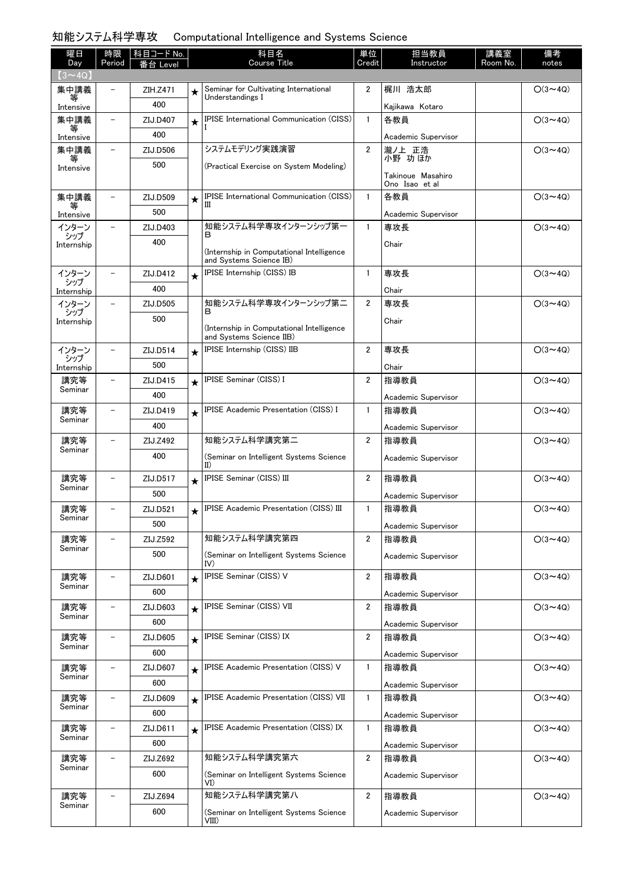# 知能システム科学専攻 Computational Intelligence and Systems Science

| 曜日                   | 時限                       | 科目コード No.       |         | 科目名<br><b>Course Title</b>                                            | 単位             | 担当教員                                | 講義室      | 備考             |
|----------------------|--------------------------|-----------------|---------|-----------------------------------------------------------------------|----------------|-------------------------------------|----------|----------------|
| Day<br>$(3 \sim 4Q)$ | Period                   | $E$ eve         |         |                                                                       | Credit         | Instructor                          | Room No. | notes          |
| 集中講義                 |                          | ZIH.Z471        | $\star$ | Seminar for Cultivating International                                 | 2              | 梶川 浩太郎                              |          | $O(3 \sim 4Q)$ |
| Intensive            |                          | 400             |         | Understandings I                                                      |                | Kajikawa Kotaro                     |          |                |
| 集中講義                 | $\overline{\phantom{0}}$ | ZIJ.D407        | $\star$ | <b>IPISE International Communication (CISS)</b>                       | $\mathbf{1}$   | 各教員                                 |          | $O(3 \sim 4Q)$ |
| Intensive            |                          | 400             |         |                                                                       |                | Academic Supervisor                 |          |                |
| 集中講義                 | $\overline{\phantom{a}}$ | ZIJ.D506        |         | システムモデリング実践演習                                                         | $\overline{2}$ | 瀧ノ上 正浩                              |          | $O(3 \sim 4Q)$ |
| 等<br>Intensive       |                          | 500             |         | (Practical Exercise on System Modeling)                               |                | 小野 功ほか                              |          |                |
|                      |                          |                 |         |                                                                       |                | Takinoue Masahiro<br>Ono Isao et al |          |                |
| 集中講義                 |                          | ZIJ.D509        | $\star$ | IPISE International Communication (CISS)                              | $\mathbf{1}$   | 各教員                                 |          | $O(3 \sim 4Q)$ |
| Intensive            |                          | 500             |         | Ш                                                                     |                | Academic Supervisor                 |          |                |
| インターン                | $\overline{\phantom{0}}$ | ZIJ.D403        |         | 知能システム科学専攻インターンシップ第一<br>в                                             | $\mathbf{1}$   | 専攻長                                 |          | $O(3 \sim 4Q)$ |
| シップ<br>Internship    |                          | 400             |         |                                                                       |                | Chair                               |          |                |
|                      |                          |                 |         | (Internship in Computational Intelligence<br>and Systems Science IB)  |                |                                     |          |                |
| インターン                |                          | ZIJ.D412        | $\star$ | IPISE Internship (CISS) IB                                            | $\mathbf{1}$   | 専攻長                                 |          | $O(3 \sim 4Q)$ |
| シップ<br>Internship    |                          | 400             |         |                                                                       |                | Chair                               |          |                |
| インターン                |                          | ZIJ.D505        |         | 知能システム科学専攻インターンシップ第二                                                  | $\overline{2}$ | 専攻長                                 |          | $O(3 \sim 4Q)$ |
| シップ<br>Internship    |                          | 500             |         | в                                                                     |                | Chair                               |          |                |
|                      |                          |                 |         | (Internship in Computational Intelligence<br>and Systems Science IIB) |                |                                     |          |                |
| インターン                | -                        | ZIJ.D514        | $\star$ | IPISE Internship (CISS) IIB                                           | 2              | 専攻長                                 |          | $O(3 \sim 4Q)$ |
| シップ<br>Internship    |                          | 500             |         |                                                                       |                | Chair                               |          |                |
| 講究等                  | $\overline{\phantom{0}}$ | ZIJ.D415        | $\star$ | IPISE Seminar (CISS) I                                                | $\overline{2}$ | 指導教員                                |          | $O(3 \sim 4Q)$ |
| Seminar              |                          | 400             |         |                                                                       |                | Academic Supervisor                 |          |                |
| 講究等                  |                          | ZIJ.D419        | $\star$ | IPISE Academic Presentation (CISS) I                                  | $\mathbf{1}$   | 指導教員                                |          | $O(3 \sim 4Q)$ |
| Seminar              |                          | 400             |         |                                                                       |                | Academic Supervisor                 |          |                |
| 講究等                  |                          | ZIJ.Z492        |         | 知能システム科学講究第二                                                          | $\overline{2}$ | 指導教員                                |          | $O(3 \sim 4Q)$ |
| Seminar              |                          | 400             |         | (Seminar on Intelligent Systems Science<br>II)                        |                | Academic Supervisor                 |          |                |
| 講究等                  | $\overline{\phantom{0}}$ | ZIJ.D517        | $\star$ | IPISE Seminar (CISS) III                                              | $\overline{2}$ | 指導教員                                |          | $O(3 \sim 4Q)$ |
| Seminar              |                          | 500             |         |                                                                       |                | Academic Supervisor                 |          |                |
| 講究等                  |                          | ZIJ.D521        | $\star$ | <b>IPISE Academic Presentation (CISS) III</b>                         | $\mathbf{1}$   | 指導教員                                |          | $O(3 \sim 4Q)$ |
| Seminar              |                          | 500             |         |                                                                       |                | Academic Supervisor                 |          |                |
| 講究等                  |                          | ZIJ.Z592        |         | 知能システム科学講究第四                                                          | $\overline{2}$ | 指導教員                                |          | $O(3 \sim 4Q)$ |
| Seminar              |                          | 500             |         | (Seminar on Intelligent Systems Science                               |                | Academic Supervisor                 |          |                |
|                      | $\overline{\phantom{0}}$ |                 |         | IV)<br>IPISE Seminar (CISS) V                                         | $\overline{2}$ |                                     |          |                |
| 講究等<br>Seminar       |                          | ZIJ.D601        | $\star$ |                                                                       |                | 指導教員                                |          | $O(3 \sim 4Q)$ |
|                      |                          | 600<br>ZIJ.D603 |         | IPISE Seminar (CISS) VII                                              | $\overline{2}$ | Academic Supervisor<br>指導教員         |          | $O(3 \sim 4Q)$ |
| 講究等<br>Seminar       |                          | 600             | $\star$ |                                                                       |                |                                     |          |                |
| 講究等                  |                          | ZIJ.D605        |         | IPISE Seminar (CISS) IX                                               | $\overline{2}$ | Academic Supervisor<br>指導教員         |          | $O(3 \sim 4Q)$ |
| Seminar              |                          | 600             | $\star$ |                                                                       |                |                                     |          |                |
| 講究等                  | $\overline{\phantom{a}}$ | ZIJ.D607        |         | IPISE Academic Presentation (CISS) V                                  | $\mathbf{1}$   | Academic Supervisor<br>指導教員         |          | $O(3 \sim 4Q)$ |
| Seminar              |                          | 600             | $\star$ |                                                                       |                |                                     |          |                |
| 講究等                  | $\overline{\phantom{0}}$ | ZIJ.D609        |         | IPISE Academic Presentation (CISS) VII                                | 1              | Academic Supervisor<br>指導教員         |          | $O(3 \sim 4Q)$ |
| Seminar              |                          | 600             | $\star$ |                                                                       |                |                                     |          |                |
| 講究等                  | $\overline{\phantom{0}}$ | ZIJ.D611        |         | IPISE Academic Presentation (CISS) IX                                 | 1              | Academic Supervisor<br>指導教員         |          | $O(3 \sim 4Q)$ |
| Seminar              |                          | 600             | $\star$ |                                                                       |                |                                     |          |                |
| 講究等                  |                          | ZIJ.Z692        |         | 知能システム科学講究第六                                                          | $\overline{2}$ | Academic Supervisor<br>指導教員         |          | $O(3 \sim 4Q)$ |
| Seminar              |                          | 600             |         | (Seminar on Intelligent Systems Science                               |                |                                     |          |                |
|                      |                          |                 |         | VI)                                                                   |                | Academic Supervisor                 |          |                |
| 講究等<br>Seminar       |                          | ZIJ.Z694        |         | 知能システム科学講究第八                                                          | $\overline{2}$ | 指導教員                                |          | $O(3 \sim 4Q)$ |
|                      |                          | 600             |         | (Seminar on Intelligent Systems Science<br>VIII)                      |                | Academic Supervisor                 |          |                |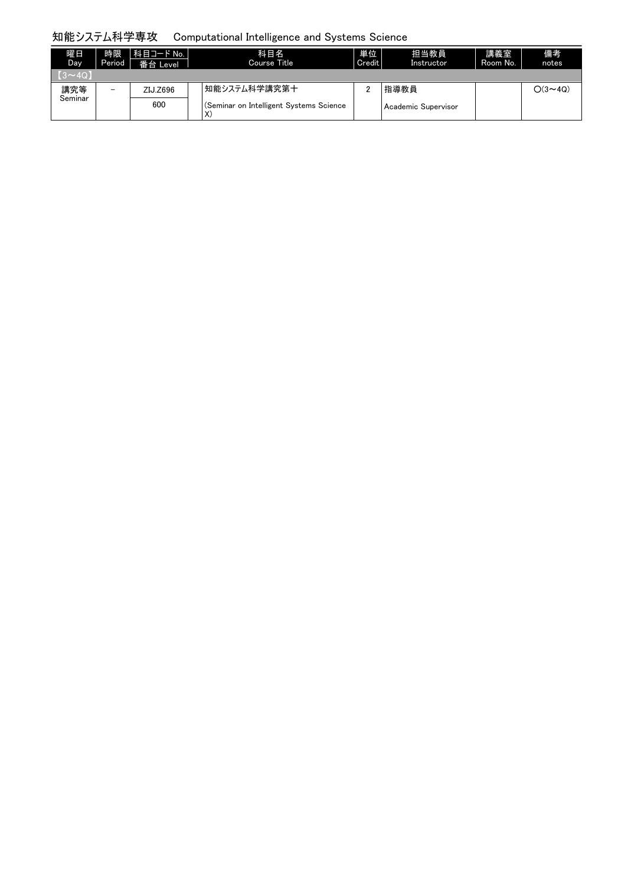# 知能システム科学専攻 Computational Intelligence and Systems Science

| 曜日<br>Day      | 時限<br>Period             | │科目コード No. │<br>番台 Level | 科目名<br>Course Title                                           | 単位<br>Credit | 担当教員<br>Instructor  | 講義室<br>Room No. | 備考<br>notes                   |
|----------------|--------------------------|--------------------------|---------------------------------------------------------------|--------------|---------------------|-----------------|-------------------------------|
| $(3 \sim 40)$  |                          |                          |                                                               |              |                     |                 |                               |
| 講究等<br>Seminar | $\overline{\phantom{0}}$ | ZIJ.Z696                 | 知能システム科学講究第十                                                  |              | 指導教員                |                 | $\bigcirc$ (3 $\thicksim$ 40) |
|                |                          | 600                      | (Seminar on Intelligent Systems Science<br>$\mathbf{v}$<br>Х. |              | Academic Supervisor |                 |                               |